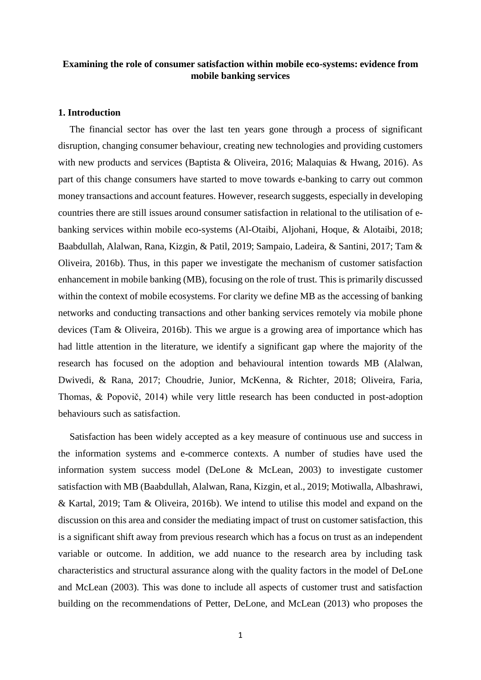# **Examining the role of consumer satisfaction within mobile eco-systems: evidence from mobile banking services**

# **1. Introduction**

The financial sector has over the last ten years gone through a process of significant disruption, changing consumer behaviour, creating new technologies and providing customers with new products and services (Baptista & Oliveira, 2016; Malaquias & Hwang, 2016). As part of this change consumers have started to move towards e-banking to carry out common money transactions and account features. However, research suggests, especially in developing countries there are still issues around consumer satisfaction in relational to the utilisation of ebanking services within mobile eco-systems (Al-Otaibi, Aljohani, Hoque, & Alotaibi, 2018; Baabdullah, Alalwan, Rana, Kizgin, & Patil, 2019; Sampaio, Ladeira, & Santini, 2017; Tam & Oliveira, 2016b). Thus, in this paper we investigate the mechanism of customer satisfaction enhancement in mobile banking (MB), focusing on the role of trust. This is primarily discussed within the context of mobile ecosystems. For clarity we define MB as the accessing of banking networks and conducting transactions and other banking services remotely via mobile phone devices (Tam & Oliveira, 2016b). This we argue is a growing area of importance which has had little attention in the literature, we identify a significant gap where the majority of the research has focused on the adoption and behavioural intention towards MB (Alalwan, Dwivedi, & Rana, 2017; Choudrie, Junior, McKenna, & Richter, 2018; Oliveira, Faria, Thomas, & Popovič, 2014) while very little research has been conducted in post-adoption behaviours such as satisfaction.

Satisfaction has been widely accepted as a key measure of continuous use and success in the information systems and e-commerce contexts. A number of studies have used the information system success model (DeLone & McLean, 2003) to investigate customer satisfaction with MB (Baabdullah, Alalwan, Rana, Kizgin, et al., 2019; Motiwalla, Albashrawi, & Kartal, 2019; Tam & Oliveira, 2016b). We intend to utilise this model and expand on the discussion on this area and consider the mediating impact of trust on customer satisfaction, this is a significant shift away from previous research which has a focus on trust as an independent variable or outcome. In addition, we add nuance to the research area by including task characteristics and structural assurance along with the quality factors in the model of DeLone and McLean (2003). This was done to include all aspects of customer trust and satisfaction building on the recommendations of Petter, DeLone, and McLean (2013) who proposes the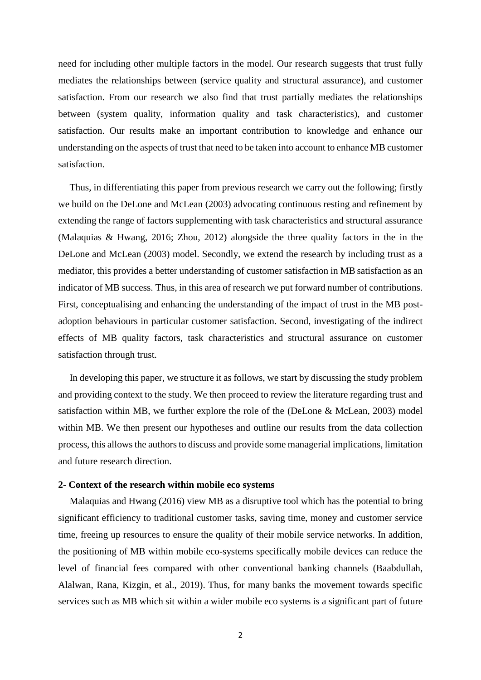need for including other multiple factors in the model. Our research suggests that trust fully mediates the relationships between (service quality and structural assurance), and customer satisfaction. From our research we also find that trust partially mediates the relationships between (system quality, information quality and task characteristics), and customer satisfaction. Our results make an important contribution to knowledge and enhance our understanding on the aspects of trust that need to be taken into account to enhance MB customer satisfaction.

Thus, in differentiating this paper from previous research we carry out the following; firstly we build on the DeLone and McLean (2003) advocating continuous resting and refinement by extending the range of factors supplementing with task characteristics and structural assurance (Malaquias & Hwang, 2016; Zhou, 2012) alongside the three quality factors in the in the DeLone and McLean (2003) model. Secondly, we extend the research by including trust as a mediator, this provides a better understanding of customer satisfaction in MB satisfaction as an indicator of MB success. Thus, in this area of research we put forward number of contributions. First, conceptualising and enhancing the understanding of the impact of trust in the MB postadoption behaviours in particular customer satisfaction. Second, investigating of the indirect effects of MB quality factors, task characteristics and structural assurance on customer satisfaction through trust.

In developing this paper, we structure it as follows, we start by discussing the study problem and providing context to the study. We then proceed to review the literature regarding trust and satisfaction within MB, we further explore the role of the (DeLone & McLean, 2003) model within MB. We then present our hypotheses and outline our results from the data collection process, this allows the authors to discuss and provide some managerial implications, limitation and future research direction.

#### **2- Context of the research within mobile eco systems**

Malaquias and Hwang (2016) view MB as a disruptive tool which has the potential to bring significant efficiency to traditional customer tasks, saving time, money and customer service time, freeing up resources to ensure the quality of their mobile service networks. In addition, the positioning of MB within mobile eco-systems specifically mobile devices can reduce the level of financial fees compared with other conventional banking channels (Baabdullah, Alalwan, Rana, Kizgin, et al., 2019). Thus, for many banks the movement towards specific services such as MB which sit within a wider mobile eco systems is a significant part of future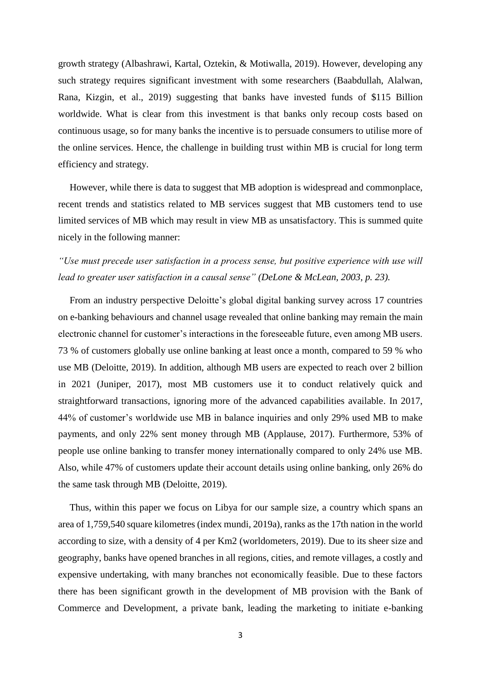growth strategy (Albashrawi, Kartal, Oztekin, & Motiwalla, 2019). However, developing any such strategy requires significant investment with some researchers (Baabdullah, Alalwan, Rana, Kizgin, et al., 2019) suggesting that banks have invested funds of \$115 Billion worldwide. What is clear from this investment is that banks only recoup costs based on continuous usage, so for many banks the incentive is to persuade consumers to utilise more of the online services. Hence, the challenge in building trust within MB is crucial for long term efficiency and strategy.

However, while there is data to suggest that MB adoption is widespread and commonplace, recent trends and statistics related to MB services suggest that MB customers tend to use limited services of MB which may result in view MB as unsatisfactory. This is summed quite nicely in the following manner:

# *"Use must precede user satisfaction in a process sense, but positive experience with use will lead to greater user satisfaction in a causal sense" (DeLone & McLean, 2003, p. 23).*

From an industry perspective Deloitte's global digital banking survey across 17 countries on e-banking behaviours and channel usage revealed that online banking may remain the main electronic channel for customer's interactions in the foreseeable future, even among MB users. 73 % of customers globally use online banking at least once a month, compared to 59 % who use MB (Deloitte, 2019). In addition, although MB users are expected to reach over 2 billion in 2021 (Juniper, 2017), most MB customers use it to conduct relatively quick and straightforward transactions, ignoring more of the advanced capabilities available. In 2017, 44% of customer's worldwide use MB in balance inquiries and only 29% used MB to make payments, and only 22% sent money through MB (Applause, 2017). Furthermore, 53% of people use online banking to transfer money internationally compared to only 24% use MB. Also, while 47% of customers update their account details using online banking, only 26% do the same task through MB (Deloitte, 2019).

Thus, within this paper we focus on Libya for our sample size, a country which spans an area of 1,759,540 square kilometres (index mundi, 2019a), ranks as the 17th nation in the world according to size, with a density of 4 per Km2 (worldometers, 2019). Due to its sheer size and geography, banks have opened branches in all regions, cities, and remote villages, a costly and expensive undertaking, with many branches not economically feasible. Due to these factors there has been significant growth in the development of MB provision with the Bank of Commerce and Development, a private bank, leading the marketing to initiate e-banking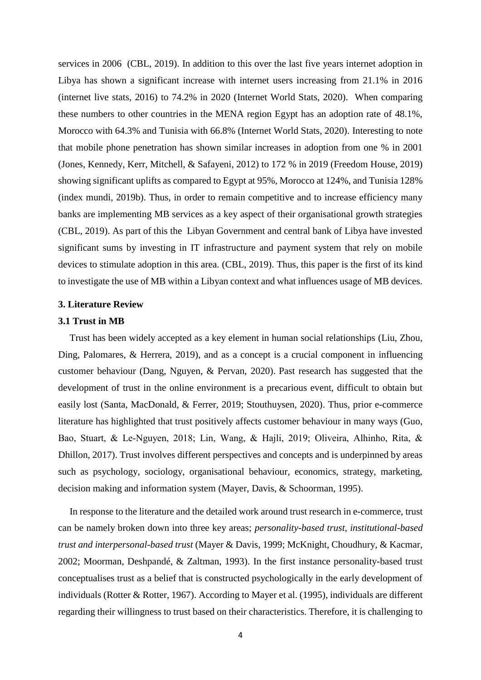services in 2006 (CBL, 2019). In addition to this over the last five years internet adoption in Libya has shown a significant increase with internet users increasing from 21.1% in 2016 (internet live stats, 2016) to 74.2% in 2020 (Internet World Stats, 2020). When comparing these numbers to other countries in the MENA region Egypt has an adoption rate of 48.1%, Morocco with 64.3% and Tunisia with 66.8% (Internet World Stats, 2020). Interesting to note that mobile phone penetration has shown similar increases in adoption from one % in 2001 (Jones, Kennedy, Kerr, Mitchell, & Safayeni, 2012) to 172 % in 2019 (Freedom House, 2019) showing significant uplifts as compared to Egypt at 95%, Morocco at 124%, and Tunisia 128% (index mundi, 2019b). Thus, in order to remain competitive and to increase efficiency many banks are implementing MB services as a key aspect of their organisational growth strategies (CBL, 2019). As part of this the Libyan Government and central bank of Libya have invested significant sums by investing in IT infrastructure and payment system that rely on mobile devices to stimulate adoption in this area. (CBL, 2019). Thus, this paper is the first of its kind to investigate the use of MB within a Libyan context and what influences usage of MB devices.

# **3. Literature Review**

#### **3.1 Trust in MB**

Trust has been widely accepted as a key element in human social relationships (Liu, Zhou, Ding, Palomares, & Herrera, 2019), and as a concept is a crucial component in influencing customer behaviour (Dang, Nguyen, & Pervan, 2020). Past research has suggested that the development of trust in the online environment is a precarious event, difficult to obtain but easily lost (Santa, MacDonald, & Ferrer, 2019; Stouthuysen, 2020). Thus, prior e-commerce literature has highlighted that trust positively affects customer behaviour in many ways (Guo, Bao, Stuart, & Le‐Nguyen, 2018; Lin, Wang, & Hajli, 2019; Oliveira, Alhinho, Rita, & Dhillon, 2017). Trust involves different perspectives and concepts and is underpinned by areas such as psychology, sociology, organisational behaviour, economics, strategy, marketing, decision making and information system (Mayer, Davis, & Schoorman, 1995).

In response to the literature and the detailed work around trust research in e-commerce, trust can be namely broken down into three key areas; *personality-based trust, institutional-based trust and interpersonal-based trust* (Mayer & Davis, 1999; McKnight, Choudhury, & Kacmar, 2002; Moorman, Deshpandé, & Zaltman, 1993). In the first instance personality-based trust conceptualises trust as a belief that is constructed psychologically in the early development of individuals (Rotter & Rotter, 1967). According to Mayer et al. (1995), individuals are different regarding their willingness to trust based on their characteristics. Therefore, it is challenging to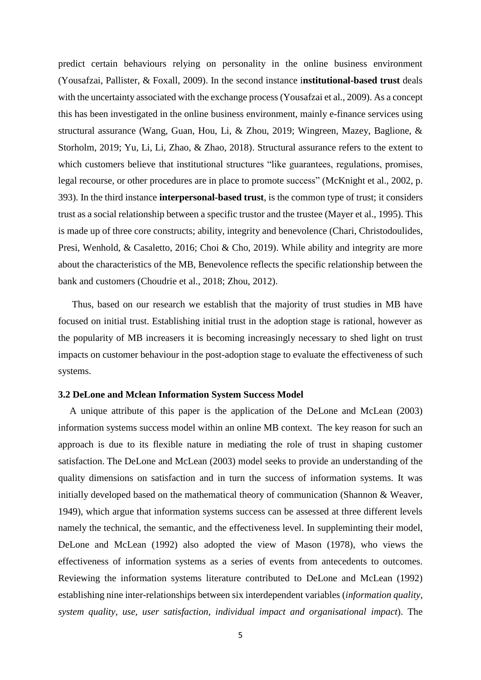predict certain behaviours relying on personality in the online business environment (Yousafzai, Pallister, & Foxall, 2009). In the second instance i**nstitutional-based trust** deals with the uncertainty associated with the exchange process (Yousafzai et al., 2009). As a concept this has been investigated in the online business environment, mainly e-finance services using structural assurance (Wang, Guan, Hou, Li, & Zhou, 2019; Wingreen, Mazey, Baglione, & Storholm, 2019; Yu, Li, Li, Zhao, & Zhao, 2018). Structural assurance refers to the extent to which customers believe that institutional structures "like guarantees, regulations, promises, legal recourse, or other procedures are in place to promote success" (McKnight et al., 2002, p. 393). In the third instance **interpersonal-based trust**, is the common type of trust; it considers trust as a social relationship between a specific trustor and the trustee (Mayer et al., 1995). This is made up of three core constructs; ability, integrity and benevolence (Chari, Christodoulides, Presi, Wenhold, & Casaletto, 2016; Choi & Cho, 2019). While ability and integrity are more about the characteristics of the MB, Benevolence reflects the specific relationship between the bank and customers (Choudrie et al., 2018; Zhou, 2012).

Thus, based on our research we establish that the majority of trust studies in MB have focused on initial trust. Establishing initial trust in the adoption stage is rational, however as the popularity of MB increasers it is becoming increasingly necessary to shed light on trust impacts on customer behaviour in the post-adoption stage to evaluate the effectiveness of such systems.

### **3.2 DeLone and Mclean Information System Success Model**

A unique attribute of this paper is the application of the DeLone and McLean (2003) information systems success model within an online MB context. The key reason for such an approach is due to its flexible nature in mediating the role of trust in shaping customer satisfaction. The DeLone and McLean (2003) model seeks to provide an understanding of the quality dimensions on satisfaction and in turn the success of information systems. It was initially developed based on the mathematical theory of communication (Shannon & Weaver, 1949), which argue that information systems success can be assessed at three different levels namely the technical, the semantic, and the effectiveness level. In suppleminting their model, DeLone and McLean (1992) also adopted the view of Mason (1978), who views the effectiveness of information systems as a series of events from antecedents to outcomes. Reviewing the information systems literature contributed to DeLone and McLean (1992) establishing nine inter-relationships between six interdependent variables (*information quality, system quality, use, user satisfaction, individual impact and organisational impact*). The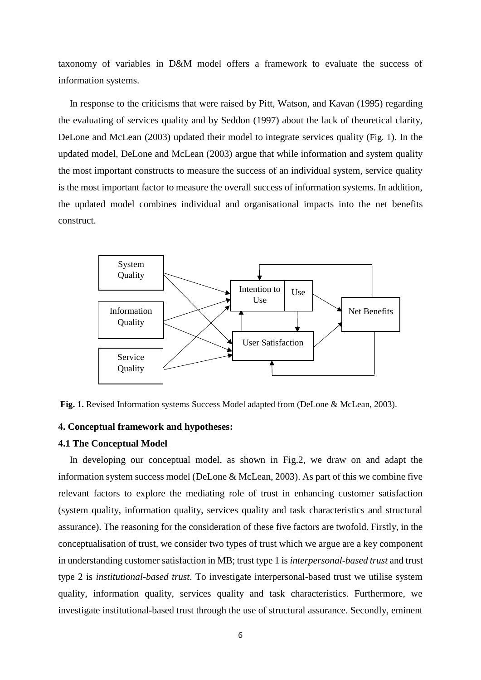taxonomy of variables in D&M model offers a framework to evaluate the success of information systems.

In response to the criticisms that were raised by Pitt, Watson, and Kavan (1995) regarding the evaluating of services quality and by Seddon (1997) about the lack of theoretical clarity, DeLone and McLean (2003) updated their model to integrate services quality (Fig. 1). In the updated model, DeLone and McLean (2003) argue that while information and system quality the most important constructs to measure the success of an individual system, service quality is the most important factor to measure the overall success of information systems. In addition, the updated model combines individual and organisational impacts into the net benefits construct.



Fig. 1. Revised Information systems Success Model adapted from (DeLone & McLean, 2003).

#### **4. Conceptual framework and hypotheses:**

#### **4.1 The Conceptual Model**

In developing our conceptual model, as shown in Fig.2, we draw on and adapt the information system success model (DeLone & McLean, 2003). As part of this we combine five relevant factors to explore the mediating role of trust in enhancing customer satisfaction (system quality, information quality, services quality and task characteristics and structural assurance). The reasoning for the consideration of these five factors are twofold. Firstly, in the conceptualisation of trust, we consider two types of trust which we argue are a key component in understanding customer satisfaction in MB; trust type 1 is *interpersonal-based trust* and trust type 2 is *institutional-based trust*. To investigate interpersonal-based trust we utilise system quality, information quality, services quality and task characteristics. Furthermore, we investigate institutional-based trust through the use of structural assurance. Secondly, eminent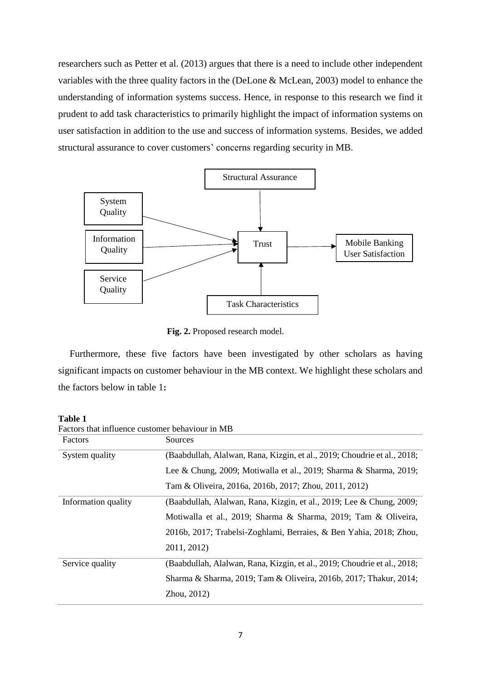researchers such as Petter et al. (2013) argues that there is a need to include other independent variables with the three quality factors in the (DeLone & McLean, 2003) model to enhance the understanding of information systems success. Hence, in response to this research we find it prudent to add task characteristics to primarily highlight the impact of information systems on user satisfaction in addition to the use and success of information systems. Besides, we added structural assurance to cover customers' concerns regarding security in MB.



 **Fig. 2.** Proposed research model.

Furthermore, these five factors have been investigated by other scholars as having significant impacts on customer behaviour in the MB context. We highlight these scholars and the factors below in table 1**:**

| Factors that influence customer behaviour in MB |                                                                          |  |  |  |
|-------------------------------------------------|--------------------------------------------------------------------------|--|--|--|
| Factors                                         | Sources                                                                  |  |  |  |
| System quality                                  | (Baabdullah, Alalwan, Rana, Kizgin, et al., 2019; Choudrie et al., 2018; |  |  |  |
|                                                 | Lee & Chung, 2009; Motiwalla et al., 2019; Sharma & Sharma, 2019;        |  |  |  |
|                                                 | Tam & Oliveira, 2016a, 2016b, 2017; Zhou, 2011, 2012)                    |  |  |  |
| Information quality                             | (Baabdullah, Alalwan, Rana, Kizgin, et al., 2019; Lee & Chung, 2009;     |  |  |  |
|                                                 | Motiwalla et al., 2019; Sharma & Sharma, 2019; Tam & Oliveira,           |  |  |  |
|                                                 | 2016b, 2017; Trabelsi-Zoghlami, Berraies, & Ben Yahia, 2018; Zhou,       |  |  |  |
|                                                 | 2011, 2012)                                                              |  |  |  |
| Service quality                                 | (Baabdullah, Alalwan, Rana, Kizgin, et al., 2019; Choudrie et al., 2018; |  |  |  |
|                                                 | Sharma & Sharma, 2019; Tam & Oliveira, 2016b, 2017; Thakur, 2014;        |  |  |  |
|                                                 | Zhou, 2012)                                                              |  |  |  |

**Table 1**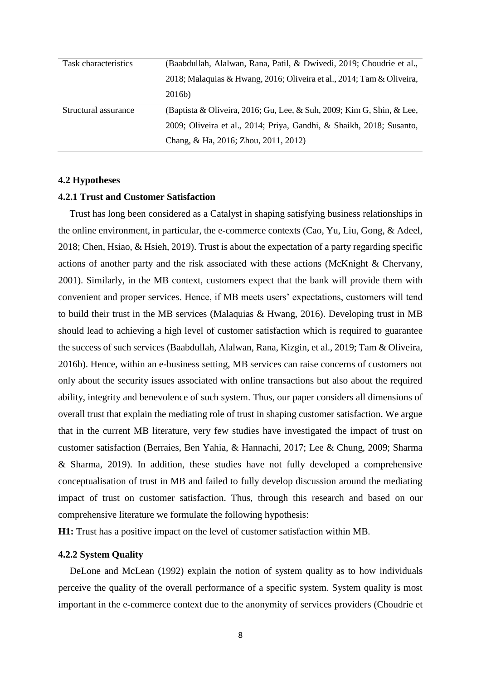| Task characteristics | (Baabdullah, Alalwan, Rana, Patil, & Dwivedi, 2019; Choudrie et al.,  |
|----------------------|-----------------------------------------------------------------------|
|                      | 2018; Malaquias & Hwang, 2016; Oliveira et al., 2014; Tam & Oliveira, |
|                      | 2016b)                                                                |
| Structural assurance | (Baptista & Oliveira, 2016; Gu, Lee, & Suh, 2009; Kim G, Shin, & Lee, |
|                      |                                                                       |
|                      | 2009; Oliveira et al., 2014; Priya, Gandhi, & Shaikh, 2018; Susanto,  |

#### **4.2 Hypotheses**

#### **4.2.1 Trust and Customer Satisfaction**

Trust has long been considered as a Catalyst in shaping satisfying business relationships in the online environment, in particular, the e-commerce contexts (Cao, Yu, Liu, Gong, & Adeel, 2018; Chen, Hsiao, & Hsieh, 2019). Trust is about the expectation of a party regarding specific actions of another party and the risk associated with these actions (McKnight & Chervany, 2001). Similarly, in the MB context, customers expect that the bank will provide them with convenient and proper services. Hence, if MB meets users' expectations, customers will tend to build their trust in the MB services (Malaquias & Hwang, 2016). Developing trust in MB should lead to achieving a high level of customer satisfaction which is required to guarantee the success of such services (Baabdullah, Alalwan, Rana, Kizgin, et al., 2019; Tam & Oliveira, 2016b). Hence, within an e-business setting, MB services can raise concerns of customers not only about the security issues associated with online transactions but also about the required ability, integrity and benevolence of such system. Thus, our paper considers all dimensions of overall trust that explain the mediating role of trust in shaping customer satisfaction. We argue that in the current MB literature, very few studies have investigated the impact of trust on customer satisfaction (Berraies, Ben Yahia, & Hannachi, 2017; Lee & Chung, 2009; Sharma & Sharma, 2019). In addition, these studies have not fully developed a comprehensive conceptualisation of trust in MB and failed to fully develop discussion around the mediating impact of trust on customer satisfaction. Thus, through this research and based on our comprehensive literature we formulate the following hypothesis:

**H1:** Trust has a positive impact on the level of customer satisfaction within MB.

## **4.2.2 System Quality**

DeLone and McLean (1992) explain the notion of system quality as to how individuals perceive the quality of the overall performance of a specific system. System quality is most important in the e-commerce context due to the anonymity of services providers (Choudrie et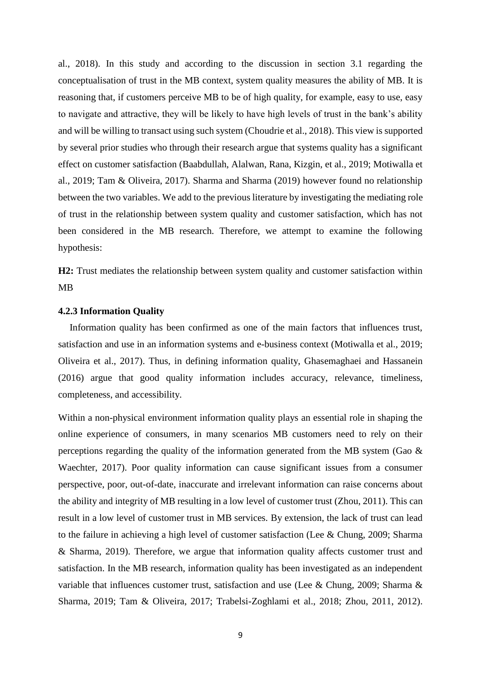al., 2018). In this study and according to the discussion in section 3.1 regarding the conceptualisation of trust in the MB context, system quality measures the ability of MB. It is reasoning that, if customers perceive MB to be of high quality, for example, easy to use, easy to navigate and attractive, they will be likely to have high levels of trust in the bank's ability and will be willing to transact using such system (Choudrie et al., 2018). This view is supported by several prior studies who through their research argue that systems quality has a significant effect on customer satisfaction (Baabdullah, Alalwan, Rana, Kizgin, et al., 2019; Motiwalla et al., 2019; Tam & Oliveira, 2017). Sharma and Sharma (2019) however found no relationship between the two variables. We add to the previous literature by investigating the mediating role of trust in the relationship between system quality and customer satisfaction, which has not been considered in the MB research. Therefore, we attempt to examine the following hypothesis:

**H2:** Trust mediates the relationship between system quality and customer satisfaction within MB

## **4.2.3 Information Quality**

Information quality has been confirmed as one of the main factors that influences trust, satisfaction and use in an information systems and e-business context (Motiwalla et al., 2019; Oliveira et al., 2017). Thus, in defining information quality, Ghasemaghaei and Hassanein (2016) argue that good quality information includes accuracy, relevance, timeliness, completeness, and accessibility.

Within a non-physical environment information quality plays an essential role in shaping the online experience of consumers, in many scenarios MB customers need to rely on their perceptions regarding the quality of the information generated from the MB system (Gao & Waechter, 2017). Poor quality information can cause significant issues from a consumer perspective, poor, out-of-date, inaccurate and irrelevant information can raise concerns about the ability and integrity of MB resulting in a low level of customer trust (Zhou, 2011). This can result in a low level of customer trust in MB services. By extension, the lack of trust can lead to the failure in achieving a high level of customer satisfaction (Lee & Chung, 2009; Sharma & Sharma, 2019). Therefore, we argue that information quality affects customer trust and satisfaction. In the MB research, information quality has been investigated as an independent variable that influences customer trust, satisfaction and use (Lee & Chung, 2009; Sharma & Sharma, 2019; Tam & Oliveira, 2017; Trabelsi-Zoghlami et al., 2018; Zhou, 2011, 2012).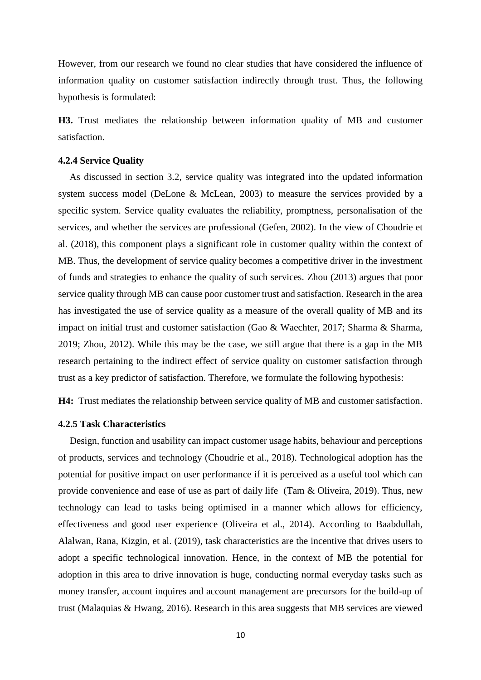However, from our research we found no clear studies that have considered the influence of information quality on customer satisfaction indirectly through trust. Thus, the following hypothesis is formulated:

**H3.** Trust mediates the relationship between information quality of MB and customer satisfaction.

## **4.2.4 Service Quality**

As discussed in section 3.2, service quality was integrated into the updated information system success model (DeLone & McLean, 2003) to measure the services provided by a specific system. Service quality evaluates the reliability, promptness, personalisation of the services, and whether the services are professional (Gefen, 2002). In the view of Choudrie et al. (2018), this component plays a significant role in customer quality within the context of MB. Thus, the development of service quality becomes a competitive driver in the investment of funds and strategies to enhance the quality of such services. Zhou (2013) argues that poor service quality through MB can cause poor customer trust and satisfaction. Research in the area has investigated the use of service quality as a measure of the overall quality of MB and its impact on initial trust and customer satisfaction (Gao & Waechter, 2017; Sharma & Sharma, 2019; Zhou, 2012). While this may be the case, we still argue that there is a gap in the MB research pertaining to the indirect effect of service quality on customer satisfaction through trust as a key predictor of satisfaction. Therefore, we formulate the following hypothesis:

**H4:** Trust mediates the relationship between service quality of MB and customer satisfaction.

# **4.2.5 Task Characteristics**

Design, function and usability can impact customer usage habits, behaviour and perceptions of products, services and technology (Choudrie et al., 2018). Technological adoption has the potential for positive impact on user performance if it is perceived as a useful tool which can provide convenience and ease of use as part of daily life (Tam & Oliveira, 2019). Thus, new technology can lead to tasks being optimised in a manner which allows for efficiency, effectiveness and good user experience (Oliveira et al., 2014). According to Baabdullah, Alalwan, Rana, Kizgin, et al. (2019), task characteristics are the incentive that drives users to adopt a specific technological innovation. Hence, in the context of MB the potential for adoption in this area to drive innovation is huge, conducting normal everyday tasks such as money transfer, account inquires and account management are precursors for the build-up of trust (Malaquias & Hwang, 2016). Research in this area suggests that MB services are viewed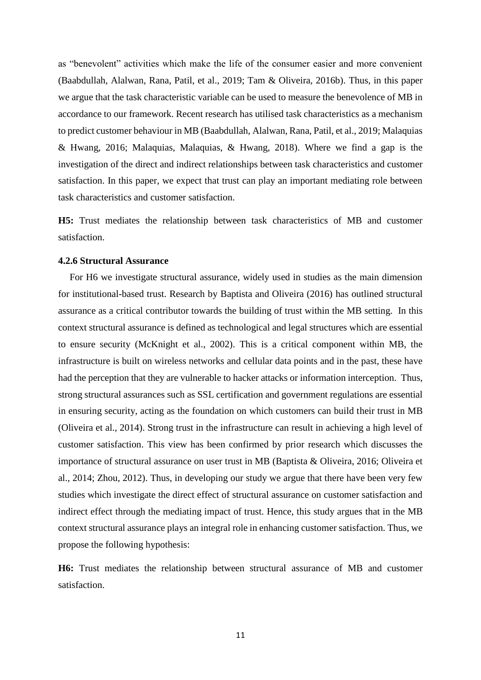as "benevolent" activities which make the life of the consumer easier and more convenient (Baabdullah, Alalwan, Rana, Patil, et al., 2019; Tam & Oliveira, 2016b). Thus, in this paper we argue that the task characteristic variable can be used to measure the benevolence of MB in accordance to our framework. Recent research has utilised task characteristics as a mechanism to predict customer behaviour in MB (Baabdullah, Alalwan, Rana, Patil, et al., 2019; Malaquias & Hwang, 2016; Malaquias, Malaquias, & Hwang, 2018). Where we find a gap is the investigation of the direct and indirect relationships between task characteristics and customer satisfaction. In this paper, we expect that trust can play an important mediating role between task characteristics and customer satisfaction.

**H5:** Trust mediates the relationship between task characteristics of MB and customer satisfaction.

# **4.2.6 Structural Assurance**

For H6 we investigate structural assurance, widely used in studies as the main dimension for institutional-based trust. Research by Baptista and Oliveira (2016) has outlined structural assurance as a critical contributor towards the building of trust within the MB setting. In this context structural assurance is defined as technological and legal structures which are essential to ensure security (McKnight et al., 2002). This is a critical component within MB, the infrastructure is built on wireless networks and cellular data points and in the past, these have had the perception that they are vulnerable to hacker attacks or information interception. Thus, strong structural assurances such as SSL certification and government regulations are essential in ensuring security, acting as the foundation on which customers can build their trust in MB (Oliveira et al., 2014). Strong trust in the infrastructure can result in achieving a high level of customer satisfaction. This view has been confirmed by prior research which discusses the importance of structural assurance on user trust in MB (Baptista & Oliveira, 2016; Oliveira et al., 2014; Zhou, 2012). Thus, in developing our study we argue that there have been very few studies which investigate the direct effect of structural assurance on customer satisfaction and indirect effect through the mediating impact of trust. Hence, this study argues that in the MB context structural assurance plays an integral role in enhancing customer satisfaction. Thus, we propose the following hypothesis:

**H6:** Trust mediates the relationship between structural assurance of MB and customer satisfaction.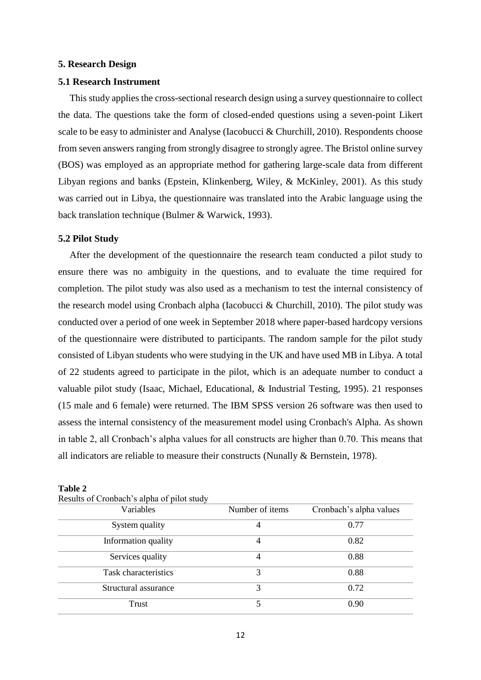### **5. Research Design**

#### **5.1 Research Instrument**

This study applies the cross-sectional research design using a survey questionnaire to collect the data. The questions take the form of closed-ended questions using a seven-point Likert scale to be easy to administer and Analyse (Iacobucci & Churchill, 2010). Respondents choose from seven answers ranging from strongly disagree to strongly agree. The Bristol online survey (BOS) was employed as an appropriate method for gathering large-scale data from different Libyan regions and banks (Epstein, Klinkenberg, Wiley, & McKinley, 2001). As this study was carried out in Libya, the questionnaire was translated into the Arabic language using the back translation technique (Bulmer & Warwick, 1993).

### **5.2 Pilot Study**

After the development of the questionnaire the research team conducted a pilot study to ensure there was no ambiguity in the questions, and to evaluate the time required for completion. The pilot study was also used as a mechanism to test the internal consistency of the research model using Cronbach alpha (Iacobucci & Churchill, 2010). The pilot study was conducted over a period of one week in September 2018 where paper-based hardcopy versions of the questionnaire were distributed to participants. The random sample for the pilot study consisted of Libyan students who were studying in the UK and have used MB in Libya. A total of 22 students agreed to participate in the pilot, which is an adequate number to conduct a valuable pilot study (Isaac, Michael, Educational, & Industrial Testing, 1995). 21 responses (15 male and 6 female) were returned. The IBM SPSS version 26 software was then used to assess the internal consistency of the measurement model using Cronbach's Alpha. As shown in table 2, all Cronbach's alpha values for all constructs are higher than 0.70. This means that all indicators are reliable to measure their constructs (Nunally & Bernstein, 1978).

| Results of Cronoach s alpha of prior study<br>Variables | Number of items | Cronbach's alpha values |
|---------------------------------------------------------|-----------------|-------------------------|
|                                                         |                 |                         |
| System quality                                          | 4               | 0.77                    |
| Information quality                                     | 4               | 0.82                    |
| Services quality                                        | 4               | 0.88                    |
| Task characteristics                                    | 3               | 0.88                    |
| Structural assurance                                    | 3               | 0.72                    |
| Trust                                                   |                 | 0.90                    |

| Tavit 4 |                                            |  |  |
|---------|--------------------------------------------|--|--|
|         | Results of Cronbach's alpha of pilot study |  |  |

**Table 2**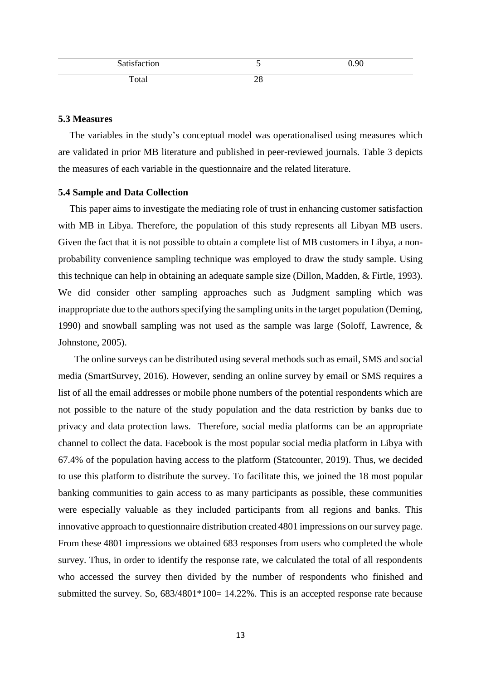| Satisfaction | ັ        | 0.90 |
|--------------|----------|------|
| Total        | າດ<br>20 |      |

## **5.3 Measures**

The variables in the study's conceptual model was operationalised using measures which are validated in prior MB literature and published in peer-reviewed journals. Table 3 depicts the measures of each variable in the questionnaire and the related literature.

#### **5.4 Sample and Data Collection**

This paper aims to investigate the mediating role of trust in enhancing customer satisfaction with MB in Libya. Therefore, the population of this study represents all Libyan MB users. Given the fact that it is not possible to obtain a complete list of MB customers in Libya, a nonprobability convenience sampling technique was employed to draw the study sample. Using this technique can help in obtaining an adequate sample size (Dillon, Madden, & Firtle, 1993). We did consider other sampling approaches such as Judgment sampling which was inappropriate due to the authors specifying the sampling units in the target population (Deming, 1990) and snowball sampling was not used as the sample was large (Soloff, Lawrence, & Johnstone, 2005).

The online surveys can be distributed using several methods such as email, SMS and social media (SmartSurvey, 2016). However, sending an online survey by email or SMS requires a list of all the email addresses or mobile phone numbers of the potential respondents which are not possible to the nature of the study population and the data restriction by banks due to privacy and data protection laws. Therefore, social media platforms can be an appropriate channel to collect the data. Facebook is the most popular social media platform in Libya with 67.4% of the population having access to the platform (Statcounter, 2019). Thus, we decided to use this platform to distribute the survey. To facilitate this, we joined the 18 most popular banking communities to gain access to as many participants as possible, these communities were especially valuable as they included participants from all regions and banks. This innovative approach to questionnaire distribution created 4801 impressions on our survey page. From these 4801 impressions we obtained 683 responses from users who completed the whole survey. Thus, in order to identify the response rate, we calculated the total of all respondents who accessed the survey then divided by the number of respondents who finished and submitted the survey. So,  $683/4801*100=14.22%$ . This is an accepted response rate because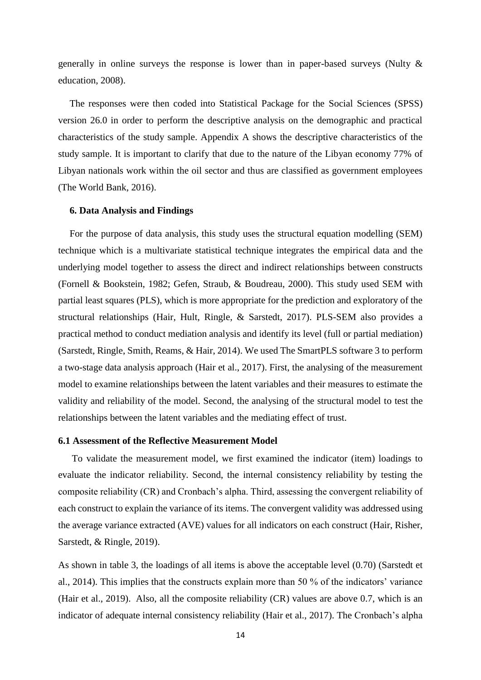generally in online surveys the response is lower than in paper-based surveys (Nulty & education, 2008).

The responses were then coded into Statistical Package for the Social Sciences (SPSS) version 26.0 in order to perform the descriptive analysis on the demographic and practical characteristics of the study sample. Appendix A shows the descriptive characteristics of the study sample. It is important to clarify that due to the nature of the Libyan economy 77% of Libyan nationals work within the oil sector and thus are classified as government employees (The World Bank, 2016).

### **6. Data Analysis and Findings**

For the purpose of data analysis, this study uses the structural equation modelling (SEM) technique which is a multivariate statistical technique integrates the empirical data and the underlying model together to assess the direct and indirect relationships between constructs (Fornell & Bookstein, 1982; Gefen, Straub, & Boudreau, 2000). This study used SEM with partial least squares (PLS), which is more appropriate for the prediction and exploratory of the structural relationships (Hair, Hult, Ringle, & Sarstedt, 2017). PLS-SEM also provides a practical method to conduct mediation analysis and identify its level (full or partial mediation) (Sarstedt, Ringle, Smith, Reams, & Hair, 2014). We used The SmartPLS software 3 to perform a two-stage data analysis approach (Hair et al., 2017). First, the analysing of the measurement model to examine relationships between the latent variables and their measures to estimate the validity and reliability of the model. Second, the analysing of the structural model to test the relationships between the latent variables and the mediating effect of trust.

# **6.1 Assessment of the Reflective Measurement Model**

To validate the measurement model, we first examined the indicator (item) loadings to evaluate the indicator reliability. Second, the internal consistency reliability by testing the composite reliability (CR) and Cronbach's alpha. Third, assessing the convergent reliability of each construct to explain the variance of its items. The convergent validity was addressed using the average variance extracted (AVE) values for all indicators on each construct (Hair, Risher, Sarstedt, & Ringle, 2019).

As shown in table 3, the loadings of all items is above the acceptable level (0.70) (Sarstedt et al., 2014). This implies that the constructs explain more than 50 % of the indicators' variance (Hair et al., 2019). Also, all the composite reliability (CR) values are above 0.7, which is an indicator of adequate internal consistency reliability (Hair et al., 2017). The Cronbach's alpha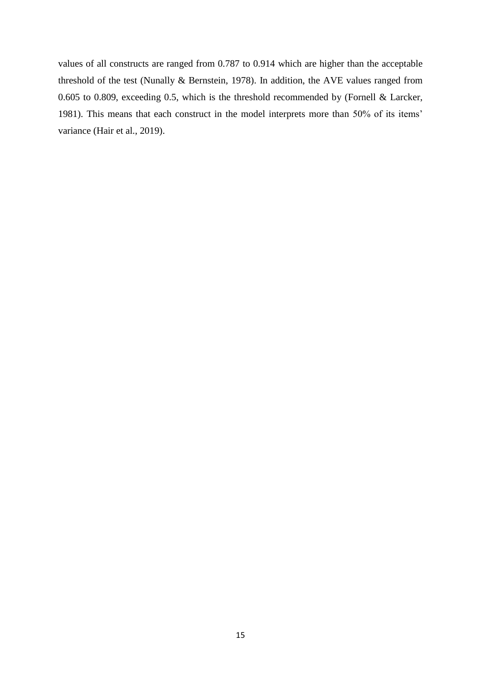values of all constructs are ranged from 0.787 to 0.914 which are higher than the acceptable threshold of the test (Nunally & Bernstein, 1978). In addition, the AVE values ranged from 0.605 to 0.809, exceeding 0.5, which is the threshold recommended by (Fornell & Larcker, 1981). This means that each construct in the model interprets more than 50% of its items' variance (Hair et al., 2019).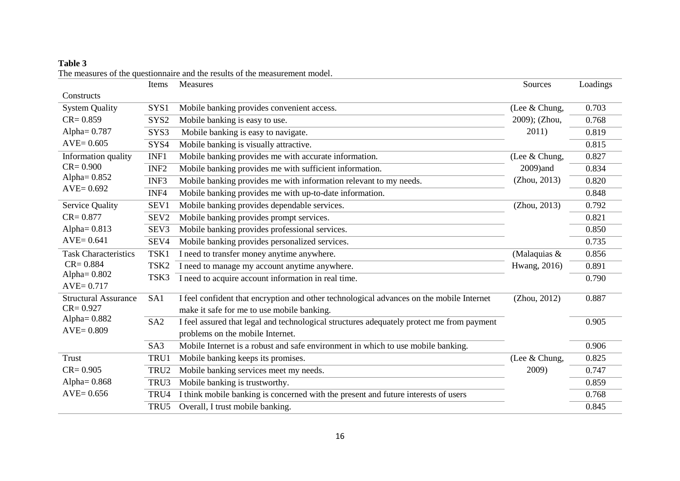|                                  | Items            | Measures                                                                                  | Sources       | Loadings |
|----------------------------------|------------------|-------------------------------------------------------------------------------------------|---------------|----------|
| Constructs                       |                  |                                                                                           |               |          |
| <b>System Quality</b>            | SYS1             | Mobile banking provides convenient access.                                                | (Lee & Chung, | 0.703    |
| $CR = 0.859$                     | SYS2             | Mobile banking is easy to use.                                                            | 2009); (Zhou, | 0.768    |
| Alpha= 0.787                     | SYS3             | Mobile banking is easy to navigate.                                                       | 2011)         | 0.819    |
| $AVE = 0.605$                    | SYS4             | Mobile banking is visually attractive.                                                    |               | 0.815    |
| Information quality              | INF1             | Mobile banking provides me with accurate information.                                     | (Lee & Chung, | 0.827    |
| $CR = 0.900$                     | INF <sub>2</sub> | Mobile banking provides me with sufficient information.                                   | 2009)and      | 0.834    |
| Alpha $= 0.852$                  | INF3             | Mobile banking provides me with information relevant to my needs.                         | (Zhou, 2013)  | 0.820    |
| $AVE = 0.692$                    | INF4             | Mobile banking provides me with up-to-date information.                                   |               | 0.848    |
| <b>Service Quality</b>           | SEV1             | Mobile banking provides dependable services.                                              | (Zhou, 2013)  | 0.792    |
| $CR = 0.877$                     | SEV <sub>2</sub> | Mobile banking provides prompt services.                                                  |               | 0.821    |
| Alpha $= 0.813$                  | SEV3             | Mobile banking provides professional services.                                            |               | 0.850    |
| $AVE=0.641$                      | SEV4             | Mobile banking provides personalized services.                                            |               | 0.735    |
| <b>Task Characteristics</b>      | TSK1             | I need to transfer money anytime anywhere.                                                | (Malaquias &  | 0.856    |
| $CR = 0.884$                     | TSK <sub>2</sub> | I need to manage my account anytime anywhere.                                             | Hwang, 2016)  | 0.891    |
| Alpha $= 0.802$<br>$AVE = 0.717$ | TSK3             | I need to acquire account information in real time.                                       |               | 0.790    |
| <b>Structural Assurance</b>      | SA1              | I feel confident that encryption and other technological advances on the mobile Internet  | (Zhou, 2012)  | 0.887    |
| $CR = 0.927$                     |                  | make it safe for me to use mobile banking.                                                |               |          |
| Alpha $= 0.882$                  | SA <sub>2</sub>  | I feel assured that legal and technological structures adequately protect me from payment |               | 0.905    |
| $AVE = 0.809$                    |                  | problems on the mobile Internet.                                                          |               |          |
|                                  | SA3              | Mobile Internet is a robust and safe environment in which to use mobile banking.          |               | 0.906    |
| Trust                            | TRU1             | Mobile banking keeps its promises.                                                        | (Lee & Chung, | 0.825    |
| $CR = 0.905$                     | TRU2             | Mobile banking services meet my needs.                                                    | 2009)         | 0.747    |
| Alpha $= 0.868$                  | TRU3             | Mobile banking is trustworthy.                                                            |               | 0.859    |
| $AVE = 0.656$                    | TRU4             | I think mobile banking is concerned with the present and future interests of users        |               | 0.768    |
|                                  | TRU5             | Overall, I trust mobile banking.                                                          |               | 0.845    |

The measures of the questionnaire and the results of the measurement model.

**Table 3**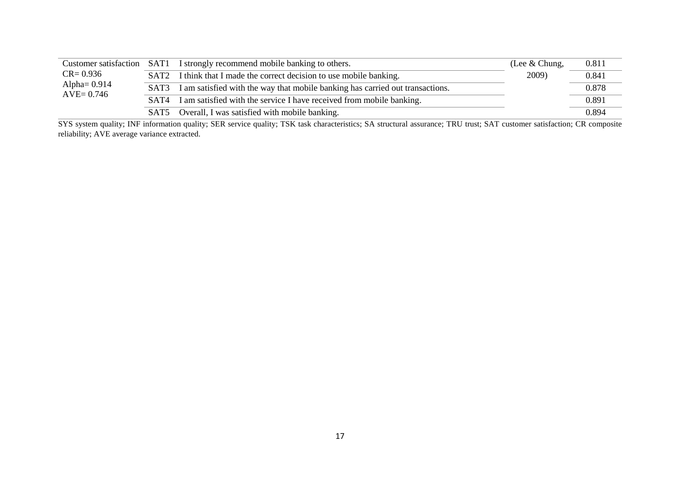|                                 |                  | Customer satisfaction SAT1 I strongly recommend mobile banking to others.     | (Lee $&$ Chung, | 0.811 |
|---------------------------------|------------------|-------------------------------------------------------------------------------|-----------------|-------|
| $CR = 0.936$                    |                  | SAT2 I think that I made the correct decision to use mobile banking.          | 2009)           | 0.841 |
| Alpha= $0.914$<br>$AVE = 0.746$ | SAT3             | I am satisfied with the way that mobile banking has carried out transactions. |                 | 0.878 |
|                                 | SAT <sub>4</sub> | I am satisfied with the service I have received from mobile banking.          |                 | 0.891 |
|                                 |                  | SAT5 Overall, I was satisfied with mobile banking.                            |                 | 0.894 |

SYS system quality; INF information quality; SER service quality; TSK task characteristics; SA structural assurance; TRU trust; SAT customer satisfaction; CR composite reliability; AVE average variance extracted.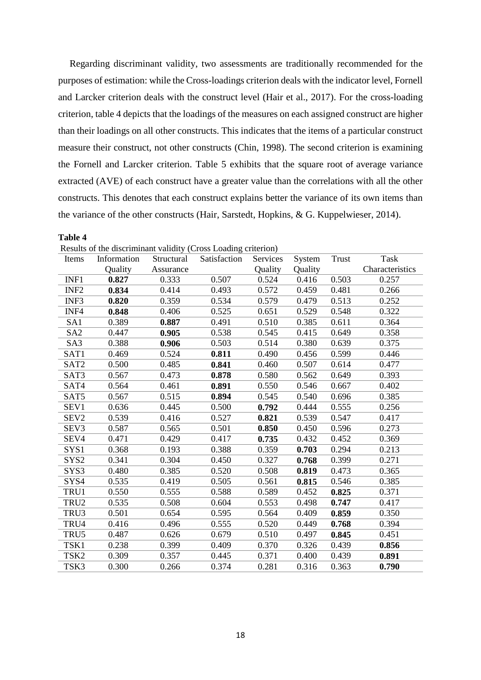Regarding discriminant validity, two assessments are traditionally recommended for the purposes of estimation: while the Cross-loadings criterion deals with the indicator level, Fornell and Larcker criterion deals with the construct level (Hair et al., 2017). For the cross-loading criterion, table 4 depicts that the loadings of the measures on each assigned construct are higher than their loadings on all other constructs. This indicates that the items of a particular construct measure their construct, not other constructs (Chin, 1998). The second criterion is examining the Fornell and Larcker criterion. Table 5 exhibits that the square root of average variance extracted (AVE) of each construct have a greater value than the correlations with all the other constructs. This denotes that each construct explains better the variance of its own items than the variance of the other constructs (Hair, Sarstedt, Hopkins, & G. Kuppelwieser, 2014).

|                  | Results of the discriminant validity (Cross Loading Chieffor) |            |              |          |         |       |                 |  |  |
|------------------|---------------------------------------------------------------|------------|--------------|----------|---------|-------|-----------------|--|--|
| Items            | Information                                                   | Structural | Satisfaction | Services | System  | Trust | Task            |  |  |
|                  | Quality                                                       | Assurance  |              | Quality  | Quality |       | Characteristics |  |  |
| INF1             | 0.827                                                         | 0.333      | 0.507        | 0.524    | 0.416   | 0.503 | 0.257           |  |  |
| INF <sub>2</sub> | 0.834                                                         | 0.414      | 0.493        | 0.572    | 0.459   | 0.481 | 0.266           |  |  |
| INF3             | 0.820                                                         | 0.359      | 0.534        | 0.579    | 0.479   | 0.513 | 0.252           |  |  |
| INF4             | 0.848                                                         | 0.406      | 0.525        | 0.651    | 0.529   | 0.548 | 0.322           |  |  |
| SA1              | 0.389                                                         | 0.887      | 0.491        | 0.510    | 0.385   | 0.611 | 0.364           |  |  |
| SA <sub>2</sub>  | 0.447                                                         | 0.905      | 0.538        | 0.545    | 0.415   | 0.649 | 0.358           |  |  |
| SA3              | 0.388                                                         | 0.906      | 0.503        | 0.514    | 0.380   | 0.639 | 0.375           |  |  |
| SAT1             | 0.469                                                         | 0.524      | 0.811        | 0.490    | 0.456   | 0.599 | 0.446           |  |  |
| SAT <sub>2</sub> | 0.500                                                         | 0.485      | 0.841        | 0.460    | 0.507   | 0.614 | 0.477           |  |  |
| SAT3             | 0.567                                                         | 0.473      | 0.878        | 0.580    | 0.562   | 0.649 | 0.393           |  |  |
| SAT4             | 0.564                                                         | 0.461      | 0.891        | 0.550    | 0.546   | 0.667 | 0.402           |  |  |
| SAT5             | 0.567                                                         | 0.515      | 0.894        | 0.545    | 0.540   | 0.696 | 0.385           |  |  |
| SEV1             | 0.636                                                         | 0.445      | 0.500        | 0.792    | 0.444   | 0.555 | 0.256           |  |  |
| SEV <sub>2</sub> | 0.539                                                         | 0.416      | 0.527        | 0.821    | 0.539   | 0.547 | 0.417           |  |  |
| SEV3             | 0.587                                                         | 0.565      | 0.501        | 0.850    | 0.450   | 0.596 | 0.273           |  |  |
| SEV4             | 0.471                                                         | 0.429      | 0.417        | 0.735    | 0.432   | 0.452 | 0.369           |  |  |
| SYS1             | 0.368                                                         | 0.193      | 0.388        | 0.359    | 0.703   | 0.294 | 0.213           |  |  |
| SYS2             | 0.341                                                         | 0.304      | 0.450        | 0.327    | 0.768   | 0.399 | 0.271           |  |  |
| SYS3             | 0.480                                                         | 0.385      | 0.520        | 0.508    | 0.819   | 0.473 | 0.365           |  |  |
| SYS4             | 0.535                                                         | 0.419      | 0.505        | 0.561    | 0.815   | 0.546 | 0.385           |  |  |
| TRU1             | 0.550                                                         | 0.555      | 0.588        | 0.589    | 0.452   | 0.825 | 0.371           |  |  |
| TRU <sub>2</sub> | 0.535                                                         | 0.508      | 0.604        | 0.553    | 0.498   | 0.747 | 0.417           |  |  |
| TRU3             | 0.501                                                         | 0.654      | 0.595        | 0.564    | 0.409   | 0.859 | 0.350           |  |  |
| TRU4             | 0.416                                                         | 0.496      | 0.555        | 0.520    | 0.449   | 0.768 | 0.394           |  |  |
| TRU5             | 0.487                                                         | 0.626      | 0.679        | 0.510    | 0.497   | 0.845 | 0.451           |  |  |
| TSK1             | 0.238                                                         | 0.399      | 0.409        | 0.370    | 0.326   | 0.439 | 0.856           |  |  |
| TSK <sub>2</sub> | 0.309                                                         | 0.357      | 0.445        | 0.371    | 0.400   | 0.439 | 0.891           |  |  |
| TSK3             | 0.300                                                         | 0.266      | 0.374        | 0.281    | 0.316   | 0.363 | 0.790           |  |  |

Results of the discriminant validity (Cross Loading criterion)

**Table 4**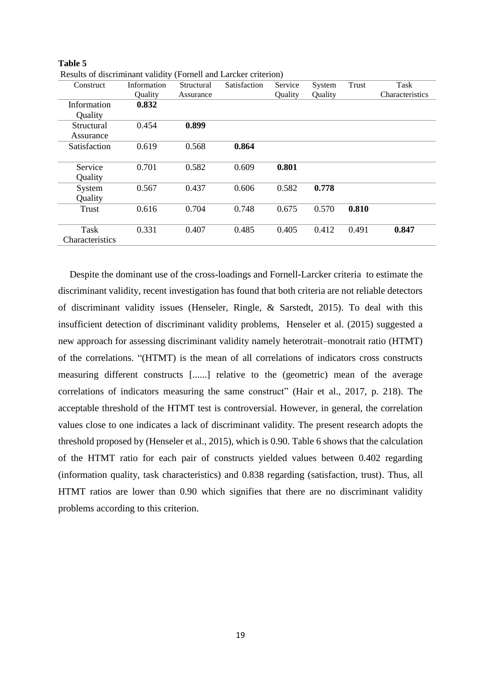| Construct       | Information | Structural | Satisfaction | Service | System  | Trust | Task            |
|-----------------|-------------|------------|--------------|---------|---------|-------|-----------------|
|                 | Quality     | Assurance  |              | Quality | Quality |       | Characteristics |
| Information     | 0.832       |            |              |         |         |       |                 |
| Quality         |             |            |              |         |         |       |                 |
| Structural      | 0.454       | 0.899      |              |         |         |       |                 |
| Assurance       |             |            |              |         |         |       |                 |
| Satisfaction    | 0.619       | 0.568      | 0.864        |         |         |       |                 |
|                 |             |            |              |         |         |       |                 |
| Service         | 0.701       | 0.582      | 0.609        | 0.801   |         |       |                 |
| Quality         |             |            |              |         |         |       |                 |
| System          | 0.567       | 0.437      | 0.606        | 0.582   | 0.778   |       |                 |
| Quality         |             |            |              |         |         |       |                 |
| Trust           | 0.616       | 0.704      | 0.748        | 0.675   | 0.570   | 0.810 |                 |
|                 |             |            |              |         |         |       |                 |
| Task            | 0.331       | 0.407      | 0.485        | 0.405   | 0.412   | 0.491 | 0.847           |
| Characteristics |             |            |              |         |         |       |                 |

**Table 5** Results of discriminant validity (Fornell and Larcker criterion)

Despite the dominant use of the cross-loadings and Fornell-Larcker criteria to estimate the discriminant validity, recent investigation has found that both criteria are not reliable detectors of discriminant validity issues (Henseler, Ringle, & Sarstedt, 2015). To deal with this insufficient detection of discriminant validity problems, Henseler et al. (2015) suggested a new approach for assessing discriminant validity namely heterotrait–monotrait ratio (HTMT) of the correlations. "(HTMT) is the mean of all correlations of indicators cross constructs measuring different constructs [......] relative to the (geometric) mean of the average correlations of indicators measuring the same construct" (Hair et al., 2017, p. 218). The acceptable threshold of the HTMT test is controversial. However, in general, the correlation values close to one indicates a lack of discriminant validity. The present research adopts the threshold proposed by (Henseler et al., 2015), which is 0.90. Table 6 shows that the calculation of the HTMT ratio for each pair of constructs yielded values between 0.402 regarding (information quality, task characteristics) and 0.838 regarding (satisfaction, trust). Thus, all HTMT ratios are lower than 0.90 which signifies that there are no discriminant validity problems according to this criterion.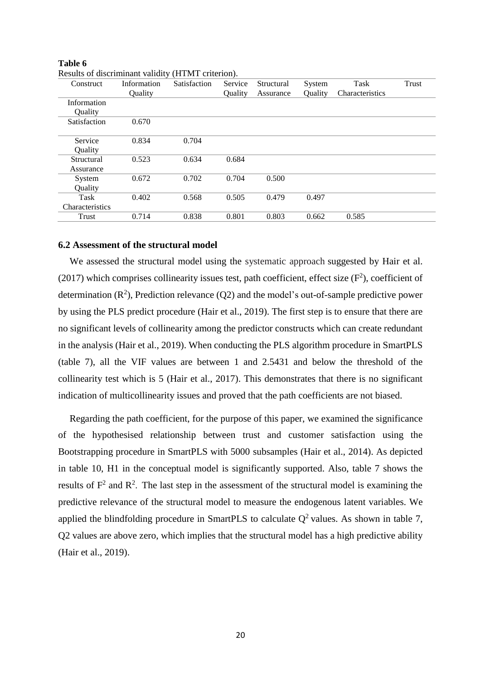| Construct       | Information | Satisfaction | Service | Structural | System  | Task            | Trust |
|-----------------|-------------|--------------|---------|------------|---------|-----------------|-------|
|                 | Quality     |              | Quality | Assurance  | Quality | Characteristics |       |
| Information     |             |              |         |            |         |                 |       |
| Quality         |             |              |         |            |         |                 |       |
| Satisfaction    | 0.670       |              |         |            |         |                 |       |
|                 |             |              |         |            |         |                 |       |
| Service         | 0.834       | 0.704        |         |            |         |                 |       |
| Ouality         |             |              |         |            |         |                 |       |
| Structural      | 0.523       | 0.634        | 0.684   |            |         |                 |       |
| Assurance       |             |              |         |            |         |                 |       |
| System          | 0.672       | 0.702        | 0.704   | 0.500      |         |                 |       |
| Quality         |             |              |         |            |         |                 |       |
| Task            | 0.402       | 0.568        | 0.505   | 0.479      | 0.497   |                 |       |
| Characteristics |             |              |         |            |         |                 |       |
| Trust           | 0.714       | 0.838        | 0.801   | 0.803      | 0.662   | 0.585           |       |
|                 |             |              |         |            |         |                 |       |

**Table 6** Results of discriminant validity (HTMT criterion).

# **6.2 Assessment of the structural model**

We assessed the structural model using the systematic approach suggested by Hair et al. (2017) which comprises collinearity issues test, path coefficient, effect size  $(F^2)$ , coefficient of determination  $(R^2)$ , Prediction relevance  $(Q2)$  and the model's out-of-sample predictive power by using the PLS predict procedure (Hair et al., 2019). The first step is to ensure that there are no significant levels of collinearity among the predictor constructs which can create redundant in the analysis (Hair et al., 2019). When conducting the PLS algorithm procedure in SmartPLS (table 7), all the VIF values are between 1 and 2.5431 and below the threshold of the collinearity test which is 5 (Hair et al., 2017). This demonstrates that there is no significant indication of multicollinearity issues and proved that the path coefficients are not biased.

Regarding the path coefficient, for the purpose of this paper, we examined the significance of the hypothesised relationship between trust and customer satisfaction using the Bootstrapping procedure in SmartPLS with 5000 subsamples (Hair et al., 2014). As depicted in table 10, H1 in the conceptual model is significantly supported. Also, table 7 shows the results of  $F^2$  and  $R^2$ . The last step in the assessment of the structural model is examining the predictive relevance of the structural model to measure the endogenous latent variables. We applied the blindfolding procedure in SmartPLS to calculate  $Q^2$  values. As shown in table 7, Q2 values are above zero, which implies that the structural model has a high predictive ability (Hair et al., 2019).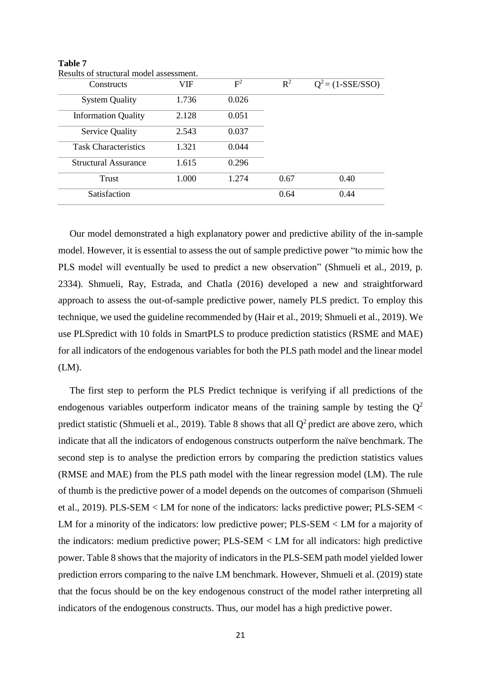| Constructs                  | VIF   | $F^2$ | $R^2$ | $Q^2 = (1-SSE/SSO)$ |
|-----------------------------|-------|-------|-------|---------------------|
| <b>System Quality</b>       | 1.736 | 0.026 |       |                     |
| <b>Information Quality</b>  | 2.128 | 0.051 |       |                     |
| Service Quality             | 2.543 | 0.037 |       |                     |
| <b>Task Characteristics</b> | 1.321 | 0.044 |       |                     |
| <b>Structural Assurance</b> | 1.615 | 0.296 |       |                     |
| Trust                       | 1.000 | 1.274 | 0.67  | 0.40                |
| Satisfaction                |       |       | 0.64  | 0.44                |

**Table 7** Results of structural model assessment.

Our model demonstrated a high explanatory power and predictive ability of the in-sample model. However, it is essential to assess the out of sample predictive power "to mimic how the PLS model will eventually be used to predict a new observation" (Shmueli et al., 2019, p. 2334). Shmueli, Ray, Estrada, and Chatla (2016) developed a new and straightforward approach to assess the out-of-sample predictive power, namely PLS predict. To employ this technique, we used the guideline recommended by (Hair et al., 2019; Shmueli et al., 2019). We use PLSpredict with 10 folds in SmartPLS to produce prediction statistics (RSME and MAE) for all indicators of the endogenous variables for both the PLS path model and the linear model (LM).

The first step to perform the PLS Predict technique is verifying if all predictions of the endogenous variables outperform indicator means of the training sample by testing the  $Q^2$ predict statistic (Shmueli et al., 2019). Table 8 shows that all  $Q^2$  predict are above zero, which indicate that all the indicators of endogenous constructs outperform the naïve benchmark. The second step is to analyse the prediction errors by comparing the prediction statistics values (RMSE and MAE) from the PLS path model with the linear regression model (LM). The rule of thumb is the predictive power of a model depends on the outcomes of comparison (Shmueli et al., 2019). PLS-SEM < LM for none of the indicators: lacks predictive power; PLS-SEM < LM for a minority of the indicators: low predictive power; PLS-SEM < LM for a majority of the indicators: medium predictive power; PLS-SEM < LM for all indicators: high predictive power. Table 8 shows that the majority of indicators in the PLS-SEM path model yielded lower prediction errors comparing to the naïve LM benchmark. However, Shmueli et al. (2019) state that the focus should be on the key endogenous construct of the model rather interpreting all indicators of the endogenous constructs. Thus, our model has a high predictive power.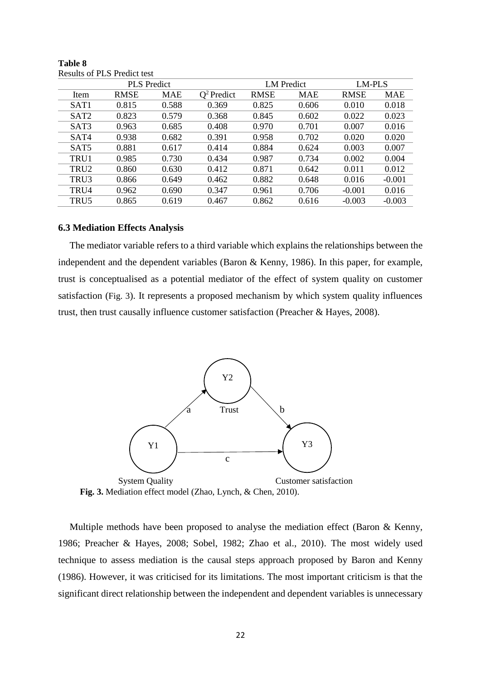|                  |             | <b>PLS</b> Predict |               | <b>LM</b> Predict |            | <b>LM-PLS</b> |            |
|------------------|-------------|--------------------|---------------|-------------------|------------|---------------|------------|
| Item             | <b>RMSE</b> | MAE                | $Q^2$ Predict | <b>RMSE</b>       | <b>MAE</b> | <b>RMSE</b>   | <b>MAE</b> |
| SAT <sub>1</sub> | 0.815       | 0.588              | 0.369         | 0.825             | 0.606      | 0.010         | 0.018      |
| SAT <sub>2</sub> | 0.823       | 0.579              | 0.368         | 0.845             | 0.602      | 0.022         | 0.023      |
| SAT3             | 0.963       | 0.685              | 0.408         | 0.970             | 0.701      | 0.007         | 0.016      |
| SAT4             | 0.938       | 0.682              | 0.391         | 0.958             | 0.702      | 0.020         | 0.020      |
| SAT <sub>5</sub> | 0.881       | 0.617              | 0.414         | 0.884             | 0.624      | 0.003         | 0.007      |
| TRU1             | 0.985       | 0.730              | 0.434         | 0.987             | 0.734      | 0.002         | 0.004      |
| TRU <sub>2</sub> | 0.860       | 0.630              | 0.412         | 0.871             | 0.642      | 0.011         | 0.012      |
| TRU3             | 0.866       | 0.649              | 0.462         | 0.882             | 0.648      | 0.016         | $-0.001$   |
| TRU4             | 0.962       | 0.690              | 0.347         | 0.961             | 0.706      | $-0.001$      | 0.016      |
| TRU5             | 0.865       | 0.619              | 0.467         | 0.862             | 0.616      | $-0.003$      | $-0.003$   |
|                  |             |                    |               |                   |            |               |            |

**Table 8** Results of PLS Predict test

## **6.3 Mediation Effects Analysis**

The mediator variable refers to a third variable which explains the relationships between the independent and the dependent variables (Baron & Kenny, 1986). In this paper, for example, trust is conceptualised as a potential mediator of the effect of system quality on customer satisfaction (Fig. 3). It represents a proposed mechanism by which system quality influences trust, then trust causally influence customer satisfaction (Preacher & Hayes, 2008).



 **Fig. 3.** Mediation effect model (Zhao, Lynch, & Chen, 2010).

Multiple methods have been proposed to analyse the mediation effect (Baron & Kenny, 1986; Preacher & Hayes, 2008; Sobel, 1982; Zhao et al., 2010). The most widely used technique to assess mediation is the causal steps approach proposed by Baron and Kenny (1986). However, it was criticised for its limitations. The most important criticism is that the significant direct relationship between the independent and dependent variables is unnecessary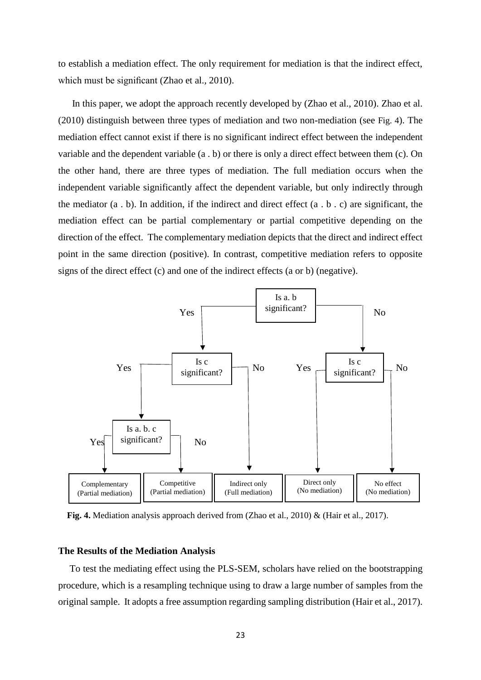to establish a mediation effect. The only requirement for mediation is that the indirect effect, which must be significant (Zhao et al., 2010).

In this paper, we adopt the approach recently developed by (Zhao et al., 2010). Zhao et al. (2010) distinguish between three types of mediation and two non-mediation (see Fig. 4). The mediation effect cannot exist if there is no significant indirect effect between the independent variable and the dependent variable (a . b) or there is only a direct effect between them (c). On the other hand, there are three types of mediation. The full mediation occurs when the independent variable significantly affect the dependent variable, but only indirectly through the mediator (a . b). In addition, if the indirect and direct effect (a . b . c) are significant, the mediation effect can be partial complementary or partial competitive depending on the direction of the effect. The complementary mediation depicts that the direct and indirect effect point in the same direction (positive). In contrast, competitive mediation refers to opposite signs of the direct effect (c) and one of the indirect effects (a or b) (negative).



**Fig. 4.** Mediation analysis approach derived from (Zhao et al., 2010) & (Hair et al., 2017).

#### **The Results of the Mediation Analysis**

To test the mediating effect using the PLS-SEM, scholars have relied on the bootstrapping procedure, which is a resampling technique using to draw a large number of samples from the original sample. It adopts a free assumption regarding sampling distribution (Hair et al., 2017).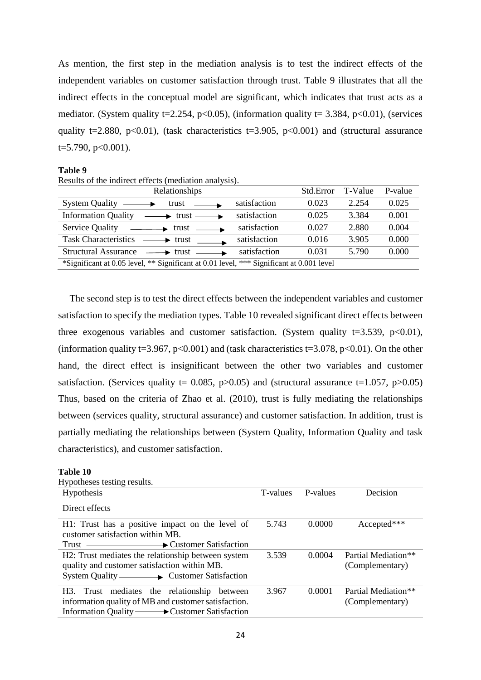As mention, the first step in the mediation analysis is to test the indirect effects of the independent variables on customer satisfaction through trust. Table 9 illustrates that all the indirect effects in the conceptual model are significant, which indicates that trust acts as a mediator. (System quality t=2.254, p<0.05), (information quality t= 3.384, p<0.01), (services quality t=2.880, p<0.01), (task characteristics t=3.905, p<0.001) and (structural assurance  $t=5.790$ ,  $p<0.001$ ).

#### **Table 9**

| Results of the indirect effects (mediation analysis). |  |  |
|-------------------------------------------------------|--|--|
|-------------------------------------------------------|--|--|

| Relationships                                                                            |              | Std.Error | T-Value | P-value |
|------------------------------------------------------------------------------------------|--------------|-----------|---------|---------|
| <b>System Quality</b><br>trust                                                           | satisfaction | 0.023     | 2.254   | 0.025   |
| <b>Information Quality</b><br>$\longrightarrow$ trust $\longrightarrow$                  | satisfaction | 0.025     | 3.384   | 0.001   |
| Service Quality<br>$\longrightarrow$ trust                                               | satisfaction | 0.027     | 2.880   | 0.004   |
| <b>Task Characteristics</b><br>$\rightarrow$ trust                                       | satisfaction | 0.016     | 3.905   | 0.000   |
| <b>Structural Assurance</b><br>$\rightarrow$ trust                                       | satisfaction | 0.031     | 5.790   | 0.000   |
| *Significant at 0.05 level, ** Significant at 0.01 level, *** Significant at 0.001 level |              |           |         |         |

The second step is to test the direct effects between the independent variables and customer satisfaction to specify the mediation types. Table 10 revealed significant direct effects between three exogenous variables and customer satisfaction. (System quality  $t=3.539$ ,  $p<0.01$ ), (information quality t=3.967, p<0.001) and (task characteristics t=3.078, p<0.01). On the other hand, the direct effect is insignificant between the other two variables and customer satisfaction. (Services quality  $t= 0.085$ , p $> 0.05$ ) and (structural assurance  $t=1.057$ , p $> 0.05$ ) Thus, based on the criteria of Zhao et al. (2010), trust is fully mediating the relationships between (services quality, structural assurance) and customer satisfaction. In addition, trust is partially mediating the relationships between (System Quality, Information Quality and task characteristics), and customer satisfaction.

#### **Table 10**

| Hypotheses testing results.                                             |          |          |                     |
|-------------------------------------------------------------------------|----------|----------|---------------------|
| <b>Hypothesis</b>                                                       | T-values | P-values | Decision            |
| Direct effects                                                          |          |          |                     |
| H1: Trust has a positive impact on the level of                         | 5.743    | 0.0000   | Accepted***         |
| customer satisfaction within MB.                                        |          |          |                     |
|                                                                         |          |          |                     |
| H2: Trust mediates the relationship between system                      | 3.539    | 0.0004   | Partial Mediation** |
| quality and customer satisfaction within MB.                            |          |          | (Complementary)     |
|                                                                         |          |          |                     |
| H3. Trust mediates the relationship between                             | 3.967    | 0.0001   | Partial Mediation** |
| information quality of MB and customer satisfaction.<br>(Complementary) |          |          |                     |
| Information Quality - Customer Satisfaction                             |          |          |                     |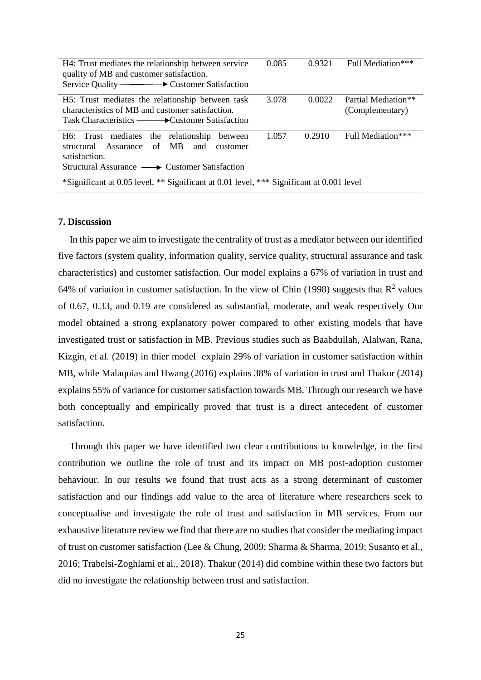| H4: Trust mediates the relationship between service<br>quality of MB and customer satisfaction. | 0.085 | 0.9321 | Full Mediation***   |
|-------------------------------------------------------------------------------------------------|-------|--------|---------------------|
| H5: Trust mediates the relationship between task                                                | 3.078 | 0.0022 | Partial Mediation** |
| characteristics of MB and customer satisfaction.                                                |       |        | (Complementary)     |
| Task Characteristics — <del>■ •</del> Customer Satisfaction                                     |       |        |                     |
| H6: Trust mediates the relationship<br>between                                                  | 1.057 | 0.2910 | Full Mediation***   |
| Assurance of MB<br>and<br>structural<br>customer                                                |       |        |                     |
| satisfaction.                                                                                   |       |        |                     |
| $Structural Assume \longrightarrow Customer Satisfaction$                                       |       |        |                     |
| *Significant at 0.05 level, ** Significant at 0.01 level, *** Significant at 0.001 level        |       |        |                     |

#### **7. Discussion**

In this paper we aim to investigate the centrality of trust as a mediator between our identified five factors (system quality, information quality, service quality, structural assurance and task characteristics) and customer satisfaction. Our model explains a 67% of variation in trust and 64% of variation in customer satisfaction. In the view of Chin (1998) suggests that  $R^2$  values of 0.67, 0.33, and 0.19 are considered as substantial, moderate, and weak respectively Our model obtained a strong explanatory power compared to other existing models that have investigated trust or satisfaction in MB. Previous studies such as Baabdullah, Alalwan, Rana, Kizgin, et al. (2019) in thier model explain 29% of variation in customer satisfaction within MB, while Malaquias and Hwang (2016) explains 38% of variation in trust and Thakur (2014) explains 55% of variance for customer satisfaction towards MB. Through our research we have both conceptually and empirically proved that trust is a direct antecedent of customer satisfaction.

Through this paper we have identified two clear contributions to knowledge, in the first contribution we outline the role of trust and its impact on MB post-adoption customer behaviour. In our results we found that trust acts as a strong determinant of customer satisfaction and our findings add value to the area of literature where researchers seek to conceptualise and investigate the role of trust and satisfaction in MB services. From our exhaustive literature review we find that there are no studies that consider the mediating impact of trust on customer satisfaction (Lee & Chung, 2009; Sharma & Sharma, 2019; Susanto et al., 2016; Trabelsi-Zoghlami et al., 2018). Thakur (2014) did combine within these two factors but did no investigate the relationship between trust and satisfaction.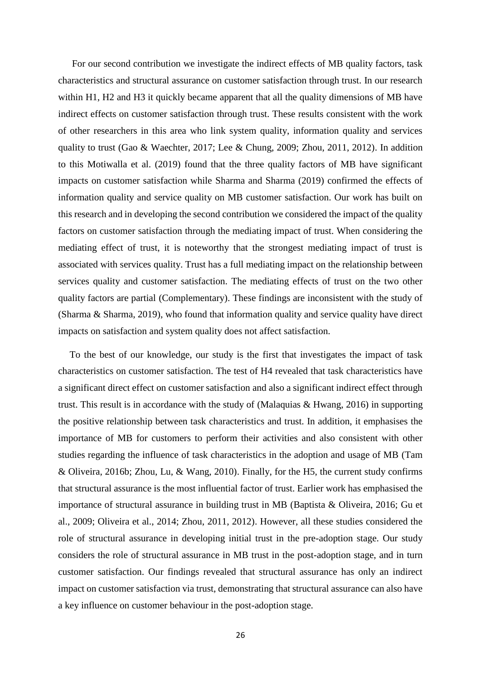For our second contribution we investigate the indirect effects of MB quality factors, task characteristics and structural assurance on customer satisfaction through trust. In our research within H1, H2 and H3 it quickly became apparent that all the quality dimensions of MB have indirect effects on customer satisfaction through trust. These results consistent with the work of other researchers in this area who link system quality, information quality and services quality to trust (Gao & Waechter, 2017; Lee & Chung, 2009; Zhou, 2011, 2012). In addition to this Motiwalla et al. (2019) found that the three quality factors of MB have significant impacts on customer satisfaction while Sharma and Sharma (2019) confirmed the effects of information quality and service quality on MB customer satisfaction. Our work has built on this research and in developing the second contribution we considered the impact of the quality factors on customer satisfaction through the mediating impact of trust. When considering the mediating effect of trust, it is noteworthy that the strongest mediating impact of trust is associated with services quality. Trust has a full mediating impact on the relationship between services quality and customer satisfaction. The mediating effects of trust on the two other quality factors are partial (Complementary). These findings are inconsistent with the study of (Sharma & Sharma, 2019), who found that information quality and service quality have direct impacts on satisfaction and system quality does not affect satisfaction.

To the best of our knowledge, our study is the first that investigates the impact of task characteristics on customer satisfaction. The test of H4 revealed that task characteristics have a significant direct effect on customer satisfaction and also a significant indirect effect through trust. This result is in accordance with the study of (Malaquias & Hwang, 2016) in supporting the positive relationship between task characteristics and trust. In addition, it emphasises the importance of MB for customers to perform their activities and also consistent with other studies regarding the influence of task characteristics in the adoption and usage of MB (Tam & Oliveira, 2016b; Zhou, Lu, & Wang, 2010). Finally, for the H5, the current study confirms that structural assurance is the most influential factor of trust. Earlier work has emphasised the importance of structural assurance in building trust in MB (Baptista & Oliveira, 2016; Gu et al., 2009; Oliveira et al., 2014; Zhou, 2011, 2012). However, all these studies considered the role of structural assurance in developing initial trust in the pre-adoption stage. Our study considers the role of structural assurance in MB trust in the post-adoption stage, and in turn customer satisfaction. Our findings revealed that structural assurance has only an indirect impact on customer satisfaction via trust, demonstrating that structural assurance can also have a key influence on customer behaviour in the post-adoption stage.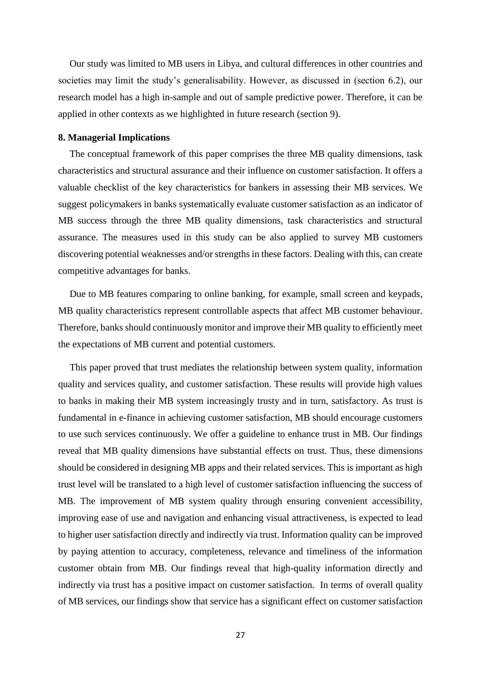Our study was limited to MB users in Libya, and cultural differences in other countries and societies may limit the study's generalisability. However, as discussed in (section 6.2), our research model has a high in-sample and out of sample predictive power. Therefore, it can be applied in other contexts as we highlighted in future research (section 9).

# **8. Managerial Implications**

The conceptual framework of this paper comprises the three MB quality dimensions, task characteristics and structural assurance and their influence on customer satisfaction. It offers a valuable checklist of the key characteristics for bankers in assessing their MB services. We suggest policymakers in banks systematically evaluate customer satisfaction as an indicator of MB success through the three MB quality dimensions, task characteristics and structural assurance. The measures used in this study can be also applied to survey MB customers discovering potential weaknesses and/or strengths in these factors. Dealing with this, can create competitive advantages for banks.

Due to MB features comparing to online banking, for example, small screen and keypads, MB quality characteristics represent controllable aspects that affect MB customer behaviour. Therefore, banks should continuously monitor and improve their MB quality to efficiently meet the expectations of MB current and potential customers.

This paper proved that trust mediates the relationship between system quality, information quality and services quality, and customer satisfaction. These results will provide high values to banks in making their MB system increasingly trusty and in turn, satisfactory. As trust is fundamental in e-finance in achieving customer satisfaction, MB should encourage customers to use such services continuously. We offer a guideline to enhance trust in MB. Our findings reveal that MB quality dimensions have substantial effects on trust. Thus, these dimensions should be considered in designing MB apps and their related services. This is important as high trust level will be translated to a high level of customer satisfaction influencing the success of MB. The improvement of MB system quality through ensuring convenient accessibility, improving ease of use and navigation and enhancing visual attractiveness, is expected to lead to higher user satisfaction directly and indirectly via trust. Information quality can be improved by paying attention to accuracy, completeness, relevance and timeliness of the information customer obtain from MB. Our findings reveal that high-quality information directly and indirectly via trust has a positive impact on customer satisfaction. In terms of overall quality of MB services, our findings show that service has a significant effect on customer satisfaction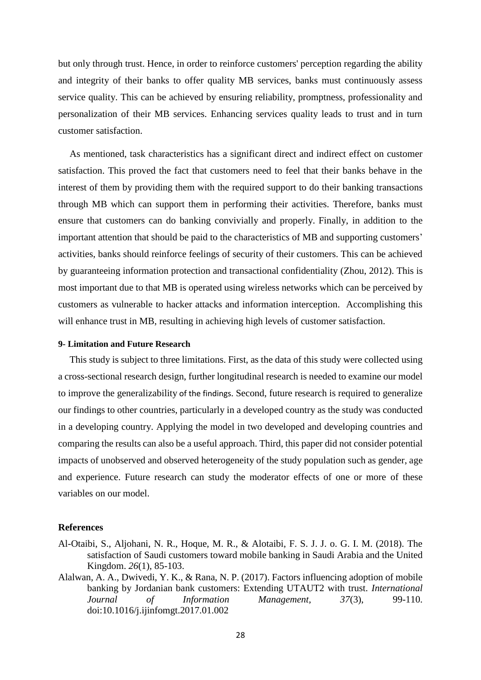but only through trust. Hence, in order to reinforce customers' perception regarding the ability and integrity of their banks to offer quality MB services, banks must continuously assess service quality. This can be achieved by ensuring reliability, promptness, professionality and personalization of their MB services. Enhancing services quality leads to trust and in turn customer satisfaction.

As mentioned, task characteristics has a significant direct and indirect effect on customer satisfaction. This proved the fact that customers need to feel that their banks behave in the interest of them by providing them with the required support to do their banking transactions through MB which can support them in performing their activities. Therefore, banks must ensure that customers can do banking convivially and properly. Finally, in addition to the important attention that should be paid to the characteristics of MB and supporting customers' activities, banks should reinforce feelings of security of their customers. This can be achieved by guaranteeing information protection and transactional confidentiality (Zhou, 2012). This is most important due to that MB is operated using wireless networks which can be perceived by customers as vulnerable to hacker attacks and information interception. Accomplishing this will enhance trust in MB, resulting in achieving high levels of customer satisfaction.

### **9- Limitation and Future Research**

This study is subject to three limitations. First, as the data of this study were collected using a cross-sectional research design, further longitudinal research is needed to examine our model to improve the generalizability of the findings. Second, future research is required to generalize our findings to other countries, particularly in a developed country as the study was conducted in a developing country. Applying the model in two developed and developing countries and comparing the results can also be a useful approach. Third, this paper did not consider potential impacts of unobserved and observed heterogeneity of the study population such as gender, age and experience. Future research can study the moderator effects of one or more of these variables on our model.

## **References**

- Al-Otaibi, S., Aljohani, N. R., Hoque, M. R., & Alotaibi, F. S. J. J. o. G. I. M. (2018). The satisfaction of Saudi customers toward mobile banking in Saudi Arabia and the United Kingdom. *26*(1), 85-103.
- Alalwan, A. A., Dwivedi, Y. K., & Rana, N. P. (2017). Factors influencing adoption of mobile banking by Jordanian bank customers: Extending UTAUT2 with trust. *International Journal of Information Management, 37*(3), 99-110. doi:10.1016/j.ijinfomgt.2017.01.002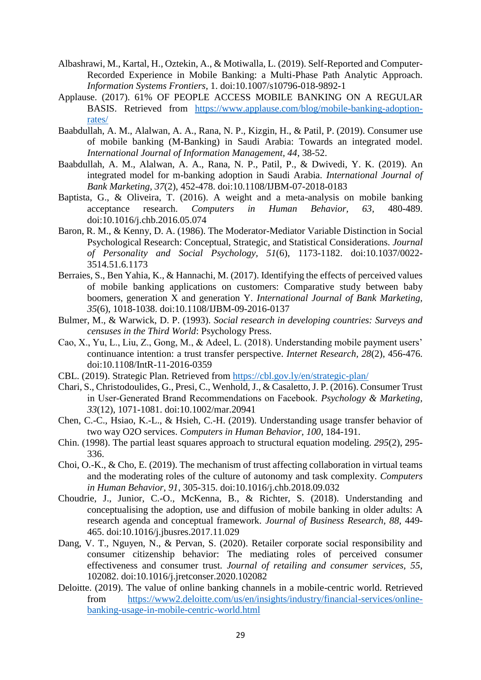- Albashrawi, M., Kartal, H., Oztekin, A., & Motiwalla, L. (2019). Self-Reported and Computer-Recorded Experience in Mobile Banking: a Multi-Phase Path Analytic Approach. *Information Systems Frontiers*, 1. doi:10.1007/s10796-018-9892-1
- Applause. (2017). 61% OF PEOPLE ACCESS MOBILE BANKING ON A REGULAR BASIS. Retrieved from [https://www.applause.com/blog/mobile-banking-adoption](https://www.applause.com/blog/mobile-banking-adoption-rates/)[rates/](https://www.applause.com/blog/mobile-banking-adoption-rates/)
- Baabdullah, A. M., Alalwan, A. A., Rana, N. P., Kizgin, H., & Patil, P. (2019). Consumer use of mobile banking (M-Banking) in Saudi Arabia: Towards an integrated model. *International Journal of Information Management, 44*, 38-52.
- Baabdullah, A. M., Alalwan, A. A., Rana, N. P., Patil, P., & Dwivedi, Y. K. (2019). An integrated model for m-banking adoption in Saudi Arabia. *International Journal of Bank Marketing, 37*(2), 452-478. doi:10.1108/IJBM-07-2018-0183
- Baptista, G., & Oliveira, T. (2016). A weight and a meta-analysis on mobile banking acceptance research. *Computers in Human Behavior, 63*, 480-489. doi:10.1016/j.chb.2016.05.074
- Baron, R. M., & Kenny, D. A. (1986). The Moderator-Mediator Variable Distinction in Social Psychological Research: Conceptual, Strategic, and Statistical Considerations. *Journal of Personality and Social Psychology, 51*(6), 1173-1182. doi:10.1037/0022- 3514.51.6.1173
- Berraies, S., Ben Yahia, K., & Hannachi, M. (2017). Identifying the effects of perceived values of mobile banking applications on customers: Comparative study between baby boomers, generation X and generation Y. *International Journal of Bank Marketing, 35*(6), 1018-1038. doi:10.1108/IJBM-09-2016-0137
- Bulmer, M., & Warwick, D. P. (1993). *Social research in developing countries: Surveys and censuses in the Third World*: Psychology Press.
- Cao, X., Yu, L., Liu, Z., Gong, M., & Adeel, L. (2018). Understanding mobile payment users' continuance intention: a trust transfer perspective. *Internet Research, 28*(2), 456-476. doi:10.1108/IntR-11-2016-0359
- CBL. (2019). Strategic Plan. Retrieved from<https://cbl.gov.ly/en/strategic-plan/>
- Chari, S., Christodoulides, G., Presi, C., Wenhold, J., & Casaletto, J. P. (2016). Consumer Trust in User‐Generated Brand Recommendations on Facebook. *Psychology & Marketing, 33*(12), 1071-1081. doi:10.1002/mar.20941
- Chen, C.-C., Hsiao, K.-L., & Hsieh, C.-H. (2019). Understanding usage transfer behavior of two way O2O services. *Computers in Human Behavior, 100*, 184-191.
- Chin. (1998). The partial least squares approach to structural equation modeling. *295*(2), 295- 336.
- Choi, O.-K., & Cho, E. (2019). The mechanism of trust affecting collaboration in virtual teams and the moderating roles of the culture of autonomy and task complexity. *Computers in Human Behavior, 91*, 305-315. doi:10.1016/j.chb.2018.09.032
- Choudrie, J., Junior, C.-O., McKenna, B., & Richter, S. (2018). Understanding and conceptualising the adoption, use and diffusion of mobile banking in older adults: A research agenda and conceptual framework. *Journal of Business Research, 88*, 449- 465. doi:10.1016/j.jbusres.2017.11.029
- Dang, V. T., Nguyen, N., & Pervan, S. (2020). Retailer corporate social responsibility and consumer citizenship behavior: The mediating roles of perceived consumer effectiveness and consumer trust. *Journal of retailing and consumer services, 55*, 102082. doi:10.1016/j.jretconser.2020.102082
- Deloitte. (2019). The value of online banking channels in a mobile-centric world. Retrieved from [https://www2.deloitte.com/us/en/insights/industry/financial-services/online](https://www2.deloitte.com/us/en/insights/industry/financial-services/online-banking-usage-in-mobile-centric-world.html)[banking-usage-in-mobile-centric-world.html](https://www2.deloitte.com/us/en/insights/industry/financial-services/online-banking-usage-in-mobile-centric-world.html)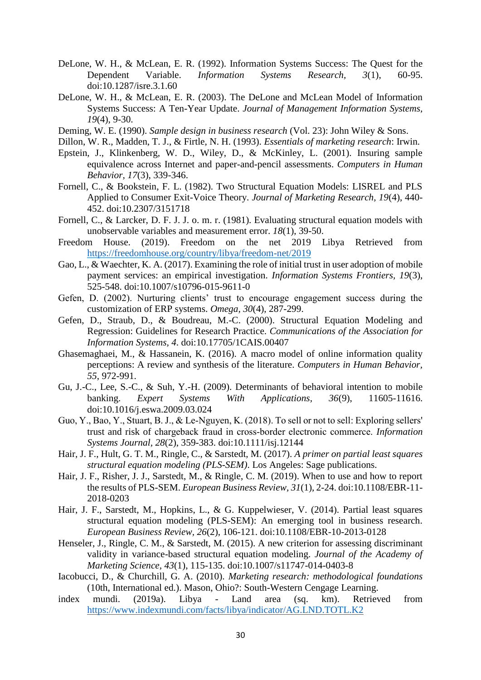- DeLone, W. H., & McLean, E. R. (1992). Information Systems Success: The Quest for the Dependent Variable. *Information Systems Research, 3*(1), 60-95. doi:10.1287/isre.3.1.60
- DeLone, W. H., & McLean, E. R. (2003). The DeLone and McLean Model of Information Systems Success: A Ten-Year Update. *Journal of Management Information Systems, 19*(4), 9-30.
- Deming, W. E. (1990). *Sample design in business research* (Vol. 23): John Wiley & Sons.
- Dillon, W. R., Madden, T. J., & Firtle, N. H. (1993). *Essentials of marketing research*: Irwin.
- Epstein, J., Klinkenberg, W. D., Wiley, D., & McKinley, L. (2001). Insuring sample equivalence across Internet and paper-and-pencil assessments. *Computers in Human Behavior, 17*(3), 339-346.
- Fornell, C., & Bookstein, F. L. (1982). Two Structural Equation Models: LISREL and PLS Applied to Consumer Exit-Voice Theory. *Journal of Marketing Research, 19*(4), 440- 452. doi:10.2307/3151718
- Fornell, C., & Larcker, D. F. J. J. o. m. r. (1981). Evaluating structural equation models with unobservable variables and measurement error. *18*(1), 39-50.
- Freedom House. (2019). Freedom on the net 2019 Libya Retrieved from <https://freedomhouse.org/country/libya/freedom-net/2019>
- Gao, L., & Waechter, K. A. (2017). Examining the role of initial trust in user adoption of mobile payment services: an empirical investigation. *Information Systems Frontiers, 19*(3), 525-548. doi:10.1007/s10796-015-9611-0
- Gefen, D. (2002). Nurturing clients' trust to encourage engagement success during the customization of ERP systems. *Omega, 30*(4), 287-299.
- Gefen, D., Straub, D., & Boudreau, M.-C. (2000). Structural Equation Modeling and Regression: Guidelines for Research Practice. *Communications of the Association for Information Systems, 4*. doi:10.17705/1CAIS.00407
- Ghasemaghaei, M., & Hassanein, K. (2016). A macro model of online information quality perceptions: A review and synthesis of the literature. *Computers in Human Behavior, 55*, 972-991.
- Gu, J.-C., Lee, S.-C., & Suh, Y.-H. (2009). Determinants of behavioral intention to mobile banking. *Expert Systems With Applications, 36*(9), 11605-11616. doi:10.1016/j.eswa.2009.03.024
- Guo, Y., Bao, Y., Stuart, B. J., & Le‐Nguyen, K. (2018). To sell or not to sell: Exploring sellers' trust and risk of chargeback fraud in cross‐border electronic commerce. *Information Systems Journal, 28*(2), 359-383. doi:10.1111/isj.12144
- Hair, J. F., Hult, G. T. M., Ringle, C., & Sarstedt, M. (2017). *A primer on partial least squares structural equation modeling (PLS-SEM)*. Los Angeles: Sage publications.
- Hair, J. F., Risher, J. J., Sarstedt, M., & Ringle, C. M. (2019). When to use and how to report the results of PLS-SEM. *European Business Review, 31*(1), 2-24. doi:10.1108/EBR-11- 2018-0203
- Hair, J. F., Sarstedt, M., Hopkins, L., & G. Kuppelwieser, V. (2014). Partial least squares structural equation modeling (PLS-SEM): An emerging tool in business research. *European Business Review, 26*(2), 106-121. doi:10.1108/EBR-10-2013-0128
- Henseler, J., Ringle, C. M., & Sarstedt, M. (2015). A new criterion for assessing discriminant validity in variance-based structural equation modeling. *Journal of the Academy of Marketing Science, 43*(1), 115-135. doi:10.1007/s11747-014-0403-8
- Iacobucci, D., & Churchill, G. A. (2010). *Marketing research: methodological foundations* (10th, International ed.). Mason, Ohio?: South-Western Cengage Learning.
- index mundi. (2019a). Libya Land area (sq. km). Retrieved from <https://www.indexmundi.com/facts/libya/indicator/AG.LND.TOTL.K2>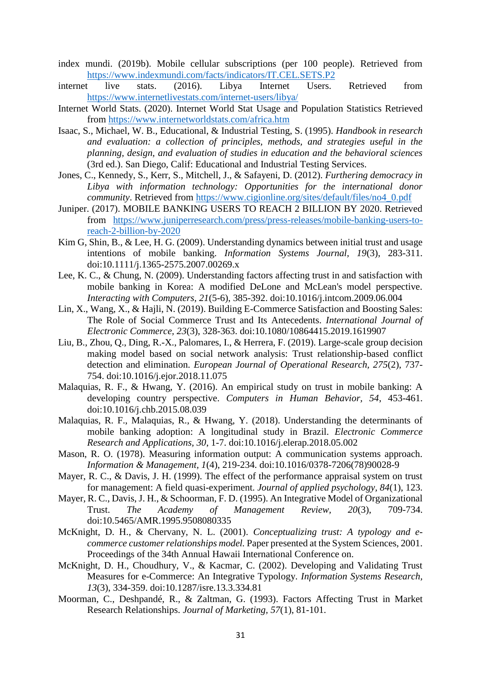- index mundi. (2019b). Mobile cellular subscriptions (per 100 people). Retrieved from <https://www.indexmundi.com/facts/indicators/IT.CEL.SETS.P2>
- internet live stats. (2016). Libya Internet Users. Retrieved from <https://www.internetlivestats.com/internet-users/libya/>
- Internet World Stats. (2020). Internet World Stat Usage and Population Statistics Retrieved from<https://www.internetworldstats.com/africa.htm>
- Isaac, S., Michael, W. B., Educational, & Industrial Testing, S. (1995). *Handbook in research and evaluation: a collection of principles, methods, and strategies useful in the planning, design, and evaluation of studies in education and the behavioral sciences* (3rd ed.). San Diego, Calif: Educational and Industrial Testing Services.
- Jones, C., Kennedy, S., Kerr, S., Mitchell, J., & Safayeni, D. (2012). *Furthering democracy in Libya with information technology: Opportunities for the international donor community*. Retrieved from [https://www.cigionline.org/sites/default/files/no4\\_0.pdf](https://www.cigionline.org/sites/default/files/no4_0.pdf)
- Juniper. (2017). MOBILE BANKING USERS TO REACH 2 BILLION BY 2020. Retrieved from [https://www.juniperresearch.com/press/press-releases/mobile-banking-users-to](https://www.juniperresearch.com/press/press-releases/mobile-banking-users-to-reach-2-billion-by-2020)[reach-2-billion-by-2020](https://www.juniperresearch.com/press/press-releases/mobile-banking-users-to-reach-2-billion-by-2020)
- Kim G, Shin, B., & Lee, H. G. (2009). Understanding dynamics between initial trust and usage intentions of mobile banking. *Information Systems Journal, 19*(3), 283-311. doi:10.1111/j.1365-2575.2007.00269.x
- Lee, K. C., & Chung, N. (2009). Understanding factors affecting trust in and satisfaction with mobile banking in Korea: A modified DeLone and McLean's model perspective. *Interacting with Computers, 21*(5-6), 385-392. doi:10.1016/j.intcom.2009.06.004
- Lin, X., Wang, X., & Hajli, N. (2019). Building E-Commerce Satisfaction and Boosting Sales: The Role of Social Commerce Trust and Its Antecedents. *International Journal of Electronic Commerce, 23*(3), 328-363. doi:10.1080/10864415.2019.1619907
- Liu, B., Zhou, Q., Ding, R.-X., Palomares, I., & Herrera, F. (2019). Large-scale group decision making model based on social network analysis: Trust relationship-based conflict detection and elimination. *European Journal of Operational Research, 275*(2), 737- 754. doi:10.1016/j.ejor.2018.11.075
- Malaquias, R. F., & Hwang, Y. (2016). An empirical study on trust in mobile banking: A developing country perspective. *Computers in Human Behavior, 54*, 453-461. doi:10.1016/j.chb.2015.08.039
- Malaquias, R. F., Malaquias, R., & Hwang, Y. (2018). Understanding the determinants of mobile banking adoption: A longitudinal study in Brazil. *Electronic Commerce Research and Applications, 30*, 1-7. doi:10.1016/j.elerap.2018.05.002
- Mason, R. O. (1978). Measuring information output: A communication systems approach. *Information & Management, 1*(4), 219-234. doi:10.1016/0378-7206(78)90028-9
- Mayer, R. C., & Davis, J. H. (1999). The effect of the performance appraisal system on trust for management: A field quasi-experiment. *Journal of applied psychology, 84*(1), 123.
- Mayer, R. C., Davis, J. H., & Schoorman, F. D. (1995). An Integrative Model of Organizational Trust. *The Academy of Management Review, 20*(3), 709-734. doi:10.5465/AMR.1995.9508080335
- McKnight, D. H., & Chervany, N. L. (2001). *Conceptualizing trust: A typology and ecommerce customer relationships model.* Paper presented at the System Sciences, 2001. Proceedings of the 34th Annual Hawaii International Conference on.
- McKnight, D. H., Choudhury, V., & Kacmar, C. (2002). Developing and Validating Trust Measures for e-Commerce: An Integrative Typology. *Information Systems Research, 13*(3), 334-359. doi:10.1287/isre.13.3.334.81
- Moorman, C., Deshpandé, R., & Zaltman, G. (1993). Factors Affecting Trust in Market Research Relationships. *Journal of Marketing, 57*(1), 81-101.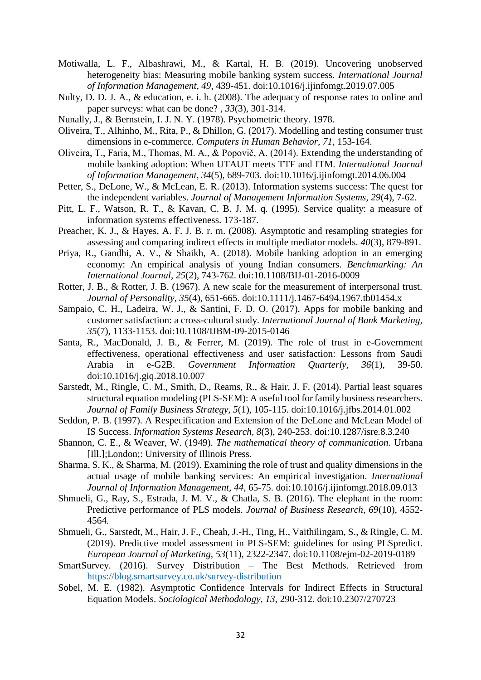- Motiwalla, L. F., Albashrawi, M., & Kartal, H. B. (2019). Uncovering unobserved heterogeneity bias: Measuring mobile banking system success. *International Journal of Information Management, 49*, 439-451. doi:10.1016/j.ijinfomgt.2019.07.005
- Nulty, D. D. J. A., & education, e. i. h. (2008). The adequacy of response rates to online and paper surveys: what can be done? *, 33*(3), 301-314.
- Nunally, J., & Bernstein, I. J. N. Y. (1978). Psychometric theory. 1978.
- Oliveira, T., Alhinho, M., Rita, P., & Dhillon, G. (2017). Modelling and testing consumer trust dimensions in e-commerce. *Computers in Human Behavior, 71*, 153-164.
- Oliveira, T., Faria, M., Thomas, M. A., & Popovič, A. (2014). Extending the understanding of mobile banking adoption: When UTAUT meets TTF and ITM. *International Journal of Information Management, 34*(5), 689-703. doi:10.1016/j.ijinfomgt.2014.06.004
- Petter, S., DeLone, W., & McLean, E. R. (2013). Information systems success: The quest for the independent variables. *Journal of Management Information Systems, 29*(4), 7-62.
- Pitt, L. F., Watson, R. T., & Kavan, C. B. J. M. q. (1995). Service quality: a measure of information systems effectiveness. 173-187.
- Preacher, K. J., & Hayes, A. F. J. B. r. m. (2008). Asymptotic and resampling strategies for assessing and comparing indirect effects in multiple mediator models. *40*(3), 879-891.
- Priya, R., Gandhi, A. V., & Shaikh, A. (2018). Mobile banking adoption in an emerging economy: An empirical analysis of young Indian consumers. *Benchmarking: An International Journal, 25*(2), 743-762. doi:10.1108/BIJ-01-2016-0009
- Rotter, J. B., & Rotter, J. B. (1967). A new scale for the measurement of interpersonal trust. *Journal of Personality, 35*(4), 651-665. doi:10.1111/j.1467-6494.1967.tb01454.x
- Sampaio, C. H., Ladeira, W. J., & Santini, F. D. O. (2017). Apps for mobile banking and customer satisfaction: a cross-cultural study. *International Journal of Bank Marketing, 35*(7), 1133-1153. doi:10.1108/IJBM-09-2015-0146
- Santa, R., MacDonald, J. B., & Ferrer, M. (2019). The role of trust in e-Government effectiveness, operational effectiveness and user satisfaction: Lessons from Saudi Arabia in e-G2B. *Government Information Quarterly, 36*(1), 39-50. doi:10.1016/j.giq.2018.10.007
- Sarstedt, M., Ringle, C. M., Smith, D., Reams, R., & Hair, J. F. (2014). Partial least squares structural equation modeling (PLS-SEM): A useful tool for family business researchers. *Journal of Family Business Strategy, 5*(1), 105-115. doi:10.1016/j.jfbs.2014.01.002
- Seddon, P. B. (1997). A Respecification and Extension of the DeLone and McLean Model of IS Success. *Information Systems Research, 8*(3), 240-253. doi:10.1287/isre.8.3.240
- Shannon, C. E., & Weaver, W. (1949). *The mathematical theory of communication*. Urbana [Ill.];London;: University of Illinois Press.
- Sharma, S. K., & Sharma, M. (2019). Examining the role of trust and quality dimensions in the actual usage of mobile banking services: An empirical investigation. *International Journal of Information Management, 44*, 65-75. doi:10.1016/j.ijinfomgt.2018.09.013
- Shmueli, G., Ray, S., Estrada, J. M. V., & Chatla, S. B. (2016). The elephant in the room: Predictive performance of PLS models. *Journal of Business Research, 69*(10), 4552- 4564.
- Shmueli, G., Sarstedt, M., Hair, J. F., Cheah, J.-H., Ting, H., Vaithilingam, S., & Ringle, C. M. (2019). Predictive model assessment in PLS-SEM: guidelines for using PLSpredict. *European Journal of Marketing, 53*(11), 2322-2347. doi:10.1108/ejm-02-2019-0189
- SmartSurvey. (2016). Survey Distribution The Best Methods. Retrieved from <https://blog.smartsurvey.co.uk/survey-distribution>
- Sobel, M. E. (1982). Asymptotic Confidence Intervals for Indirect Effects in Structural Equation Models. *Sociological Methodology, 13*, 290-312. doi:10.2307/270723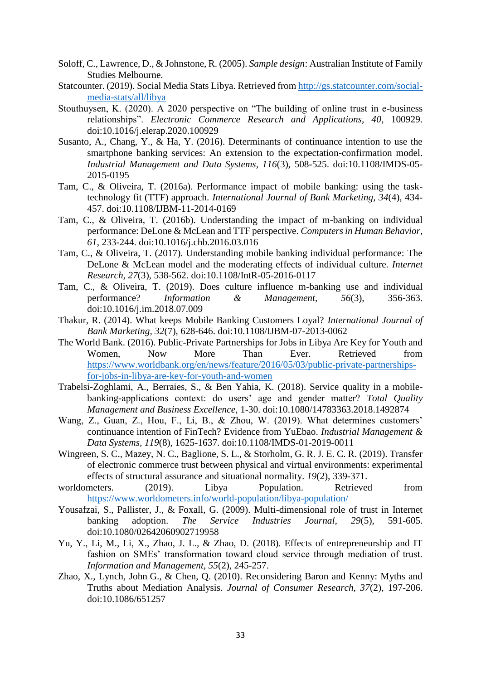- Soloff, C., Lawrence, D., & Johnstone, R. (2005). *Sample design*: Australian Institute of Family Studies Melbourne.
- Statcounter. (2019). Social Media Stats Libya. Retrieved from [http://gs.statcounter.com/social](http://gs.statcounter.com/social-media-stats/all/libya)[media-stats/all/libya](http://gs.statcounter.com/social-media-stats/all/libya)
- Stouthuysen, K. (2020). A 2020 perspective on "The building of online trust in e-business relationships". *Electronic Commerce Research and Applications, 40*, 100929. doi:10.1016/j.elerap.2020.100929
- Susanto, A., Chang, Y., & Ha, Y. (2016). Determinants of continuance intention to use the smartphone banking services: An extension to the expectation-confirmation model. *Industrial Management and Data Systems, 116*(3), 508-525. doi:10.1108/IMDS-05- 2015-0195
- Tam, C., & Oliveira, T. (2016a). Performance impact of mobile banking: using the tasktechnology fit (TTF) approach. *International Journal of Bank Marketing, 34*(4), 434- 457. doi:10.1108/IJBM-11-2014-0169
- Tam, C., & Oliveira, T. (2016b). Understanding the impact of m-banking on individual performance: DeLone & McLean and TTF perspective. *Computers in Human Behavior, 61*, 233-244. doi:10.1016/j.chb.2016.03.016
- Tam, C., & Oliveira, T. (2017). Understanding mobile banking individual performance: The DeLone & McLean model and the moderating effects of individual culture. *Internet Research, 27*(3), 538-562. doi:10.1108/IntR-05-2016-0117
- Tam, C., & Oliveira, T. (2019). Does culture influence m-banking use and individual performance? *Information & Management, 56*(3), 356-363. doi:10.1016/j.im.2018.07.009
- Thakur, R. (2014). What keeps Mobile Banking Customers Loyal? *International Journal of Bank Marketing, 32*(7), 628-646. doi:10.1108/IJBM-07-2013-0062
- The World Bank. (2016). Public-Private Partnerships for Jobs in Libya Are Key for Youth and Women, Now More Than Ever. Retrieved from [https://www.worldbank.org/en/news/feature/2016/05/03/public-private-partnerships](https://www.worldbank.org/en/news/feature/2016/05/03/public-private-partnerships-for-jobs-in-libya-are-key-for-youth-and-women)[for-jobs-in-libya-are-key-for-youth-and-women](https://www.worldbank.org/en/news/feature/2016/05/03/public-private-partnerships-for-jobs-in-libya-are-key-for-youth-and-women)
- Trabelsi-Zoghlami, A., Berraies, S., & Ben Yahia, K. (2018). Service quality in a mobilebanking-applications context: do users' age and gender matter? *Total Quality Management and Business Excellence*, 1-30. doi:10.1080/14783363.2018.1492874
- Wang, Z., Guan, Z., Hou, F., Li, B., & Zhou, W. (2019). What determines customers' continuance intention of FinTech? Evidence from YuEbao. *Industrial Management & Data Systems, 119*(8), 1625-1637. doi:10.1108/IMDS-01-2019-0011
- Wingreen, S. C., Mazey, N. C., Baglione, S. L., & Storholm, G. R. J. E. C. R. (2019). Transfer of electronic commerce trust between physical and virtual environments: experimental effects of structural assurance and situational normality. *19*(2), 339-371.
- worldometers. (2019). Libya Population. Retrieved from <https://www.worldometers.info/world-population/libya-population/>
- Yousafzai, S., Pallister, J., & Foxall, G. (2009). Multi-dimensional role of trust in Internet banking adoption. *The Service Industries Journal, 29*(5), 591-605. doi:10.1080/02642060902719958
- Yu, Y., Li, M., Li, X., Zhao, J. L., & Zhao, D. (2018). Effects of entrepreneurship and IT fashion on SMEs' transformation toward cloud service through mediation of trust. *Information and Management, 55*(2), 245-257.
- Zhao, X., Lynch, John G., & Chen, Q. (2010). Reconsidering Baron and Kenny: Myths and Truths about Mediation Analysis. *Journal of Consumer Research, 37*(2), 197-206. doi:10.1086/651257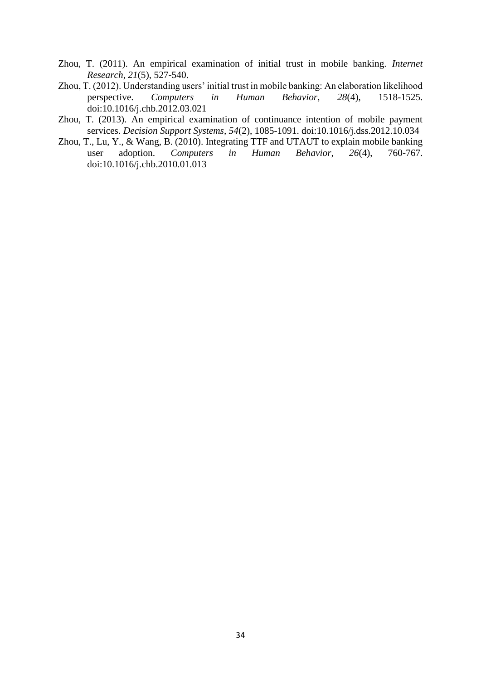- Zhou, T. (2011). An empirical examination of initial trust in mobile banking. *Internet Research, 21*(5), 527-540.
- Zhou, T. (2012). Understanding users' initial trust in mobile banking: An elaboration likelihood perspective. *Computers in Human Behavior, 28*(4), 1518-1525. doi:10.1016/j.chb.2012.03.021
- Zhou, T. (2013). An empirical examination of continuance intention of mobile payment services. *Decision Support Systems, 54*(2), 1085-1091. doi:10.1016/j.dss.2012.10.034
- Zhou, T., Lu, Y., & Wang, B. (2010). Integrating TTF and UTAUT to explain mobile banking user adoption. *Computers in Human Behavior, 26*(4), 760-767. doi:10.1016/j.chb.2010.01.013